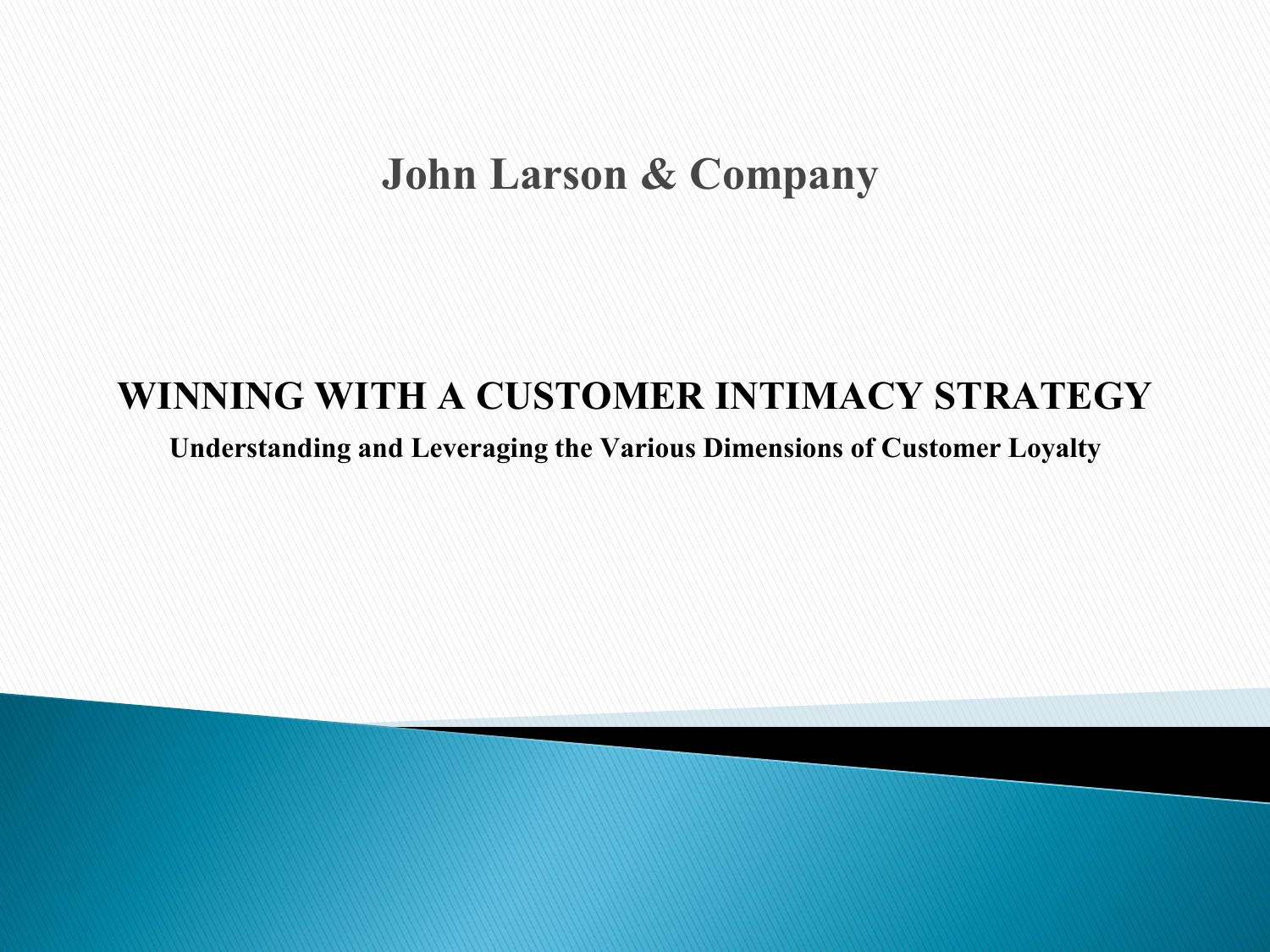# **John Larson & Company**

#### **WINNING WITH A CUSTOMER INTIMACY STRATEGY**

**Understanding and Leveraging the Various Dimensions of Customer Loyalty**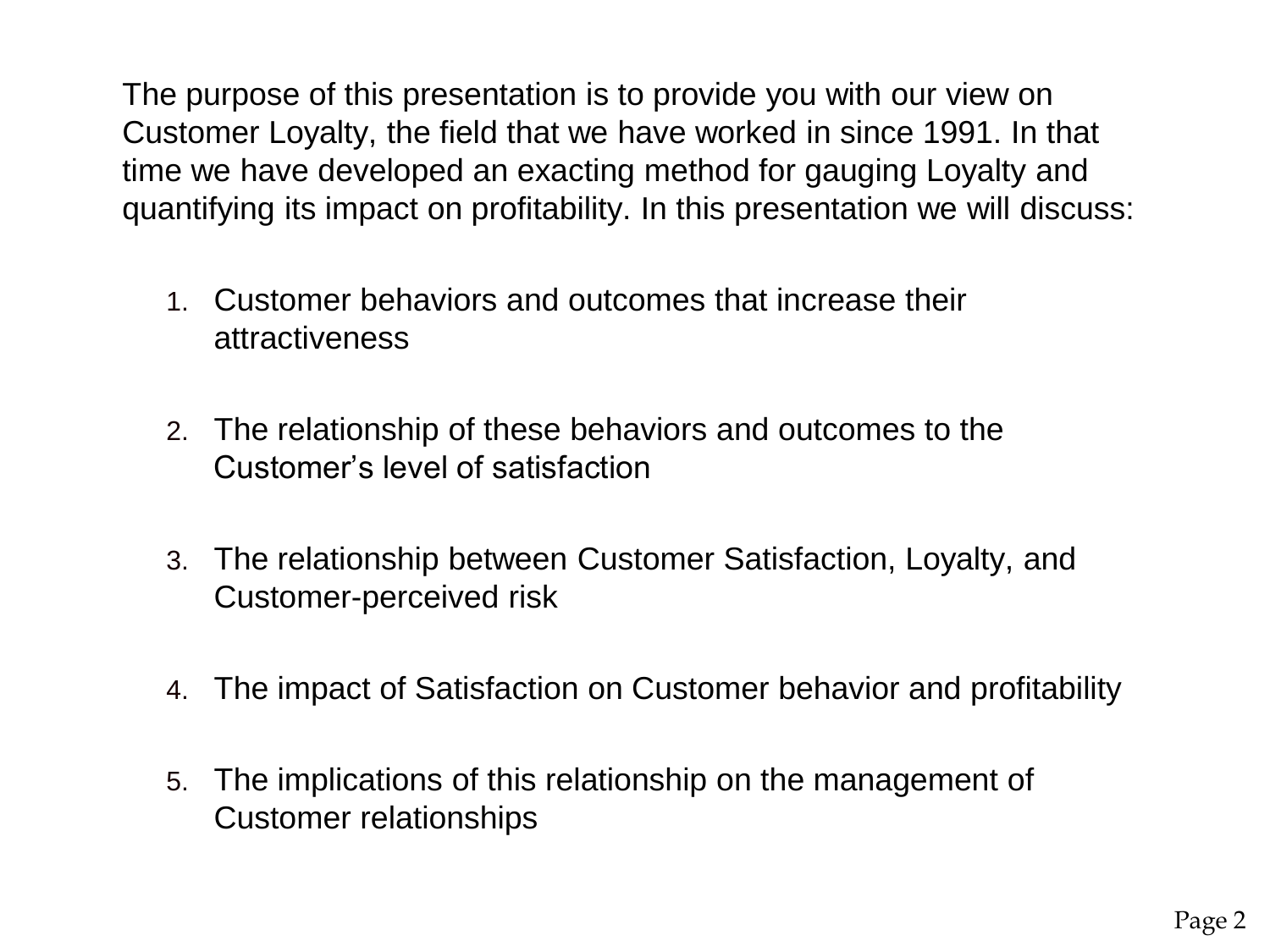The purpose of this presentation is to provide you with our view on Customer Loyalty, the field that we have worked in since 1991. In that time we have developed an exacting method for gauging Loyalty and quantifying its impact on profitability. In this presentation we will discuss:

- 1. Customer behaviors and outcomes that increase their attractiveness
- 2. The relationship of these behaviors and outcomes to the Customer's level of satisfaction
- 3. The relationship between Customer Satisfaction, Loyalty, and Customer-perceived risk
- 4. The impact of Satisfaction on Customer behavior and profitability
- 5. The implications of this relationship on the management of Customer relationships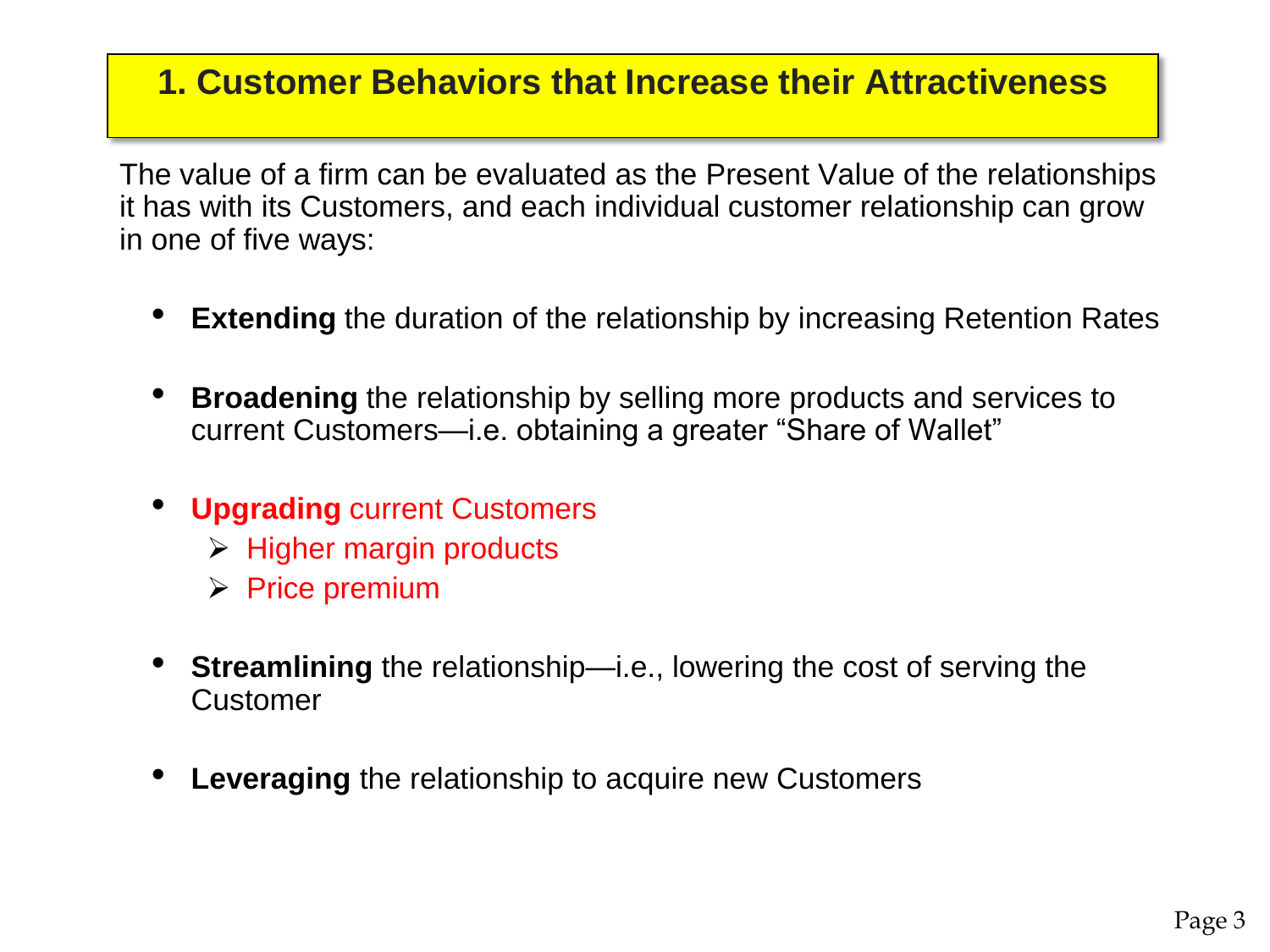#### **1. Customer Behaviors that Increase their Attractiveness**

The value of a firm can be evaluated as the Present Value of the relationships it has with its Customers, and each individual customer relationship can grow in one of five ways:

- **Extending** the duration of the relationship by increasing Retention Rates
- **Broadening** the relationship by selling more products and services to current Customers—i.e. obtaining a greater "Share of Wallet"
- **Upgrading** current Customers
	- $\triangleright$  Higher margin products
	- $\triangleright$  Price premium
- **Streamlining** the relationship—i.e., lowering the cost of serving the **Customer**
- **Leveraging** the relationship to acquire new Customers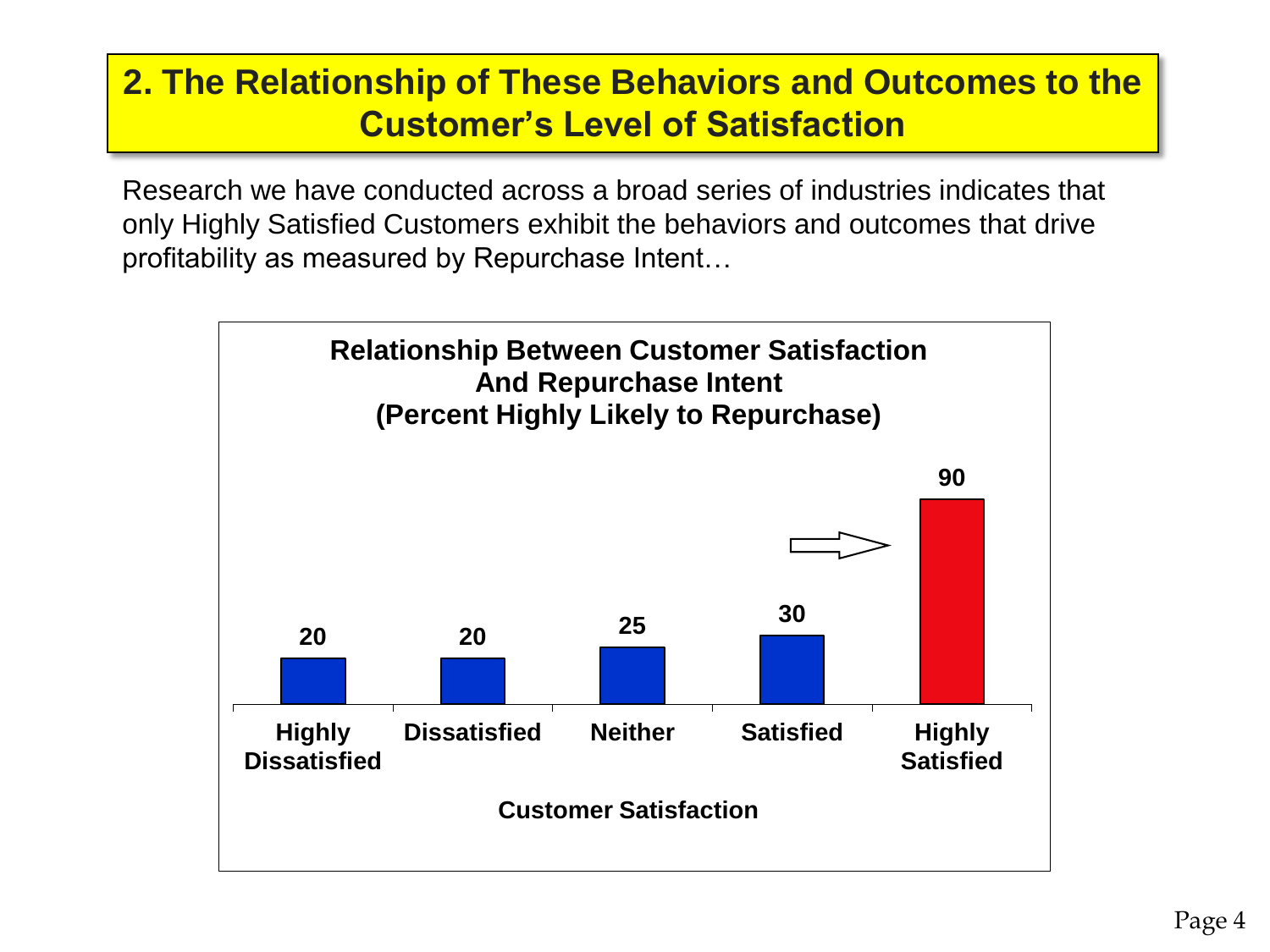#### **2. The Relationship of These Behaviors and Outcomes to the Customer's Level of Satisfaction**

Research we have conducted across a broad series of industries indicates that only Highly Satisfied Customers exhibit the behaviors and outcomes that drive profitability as measured by Repurchase Intent…

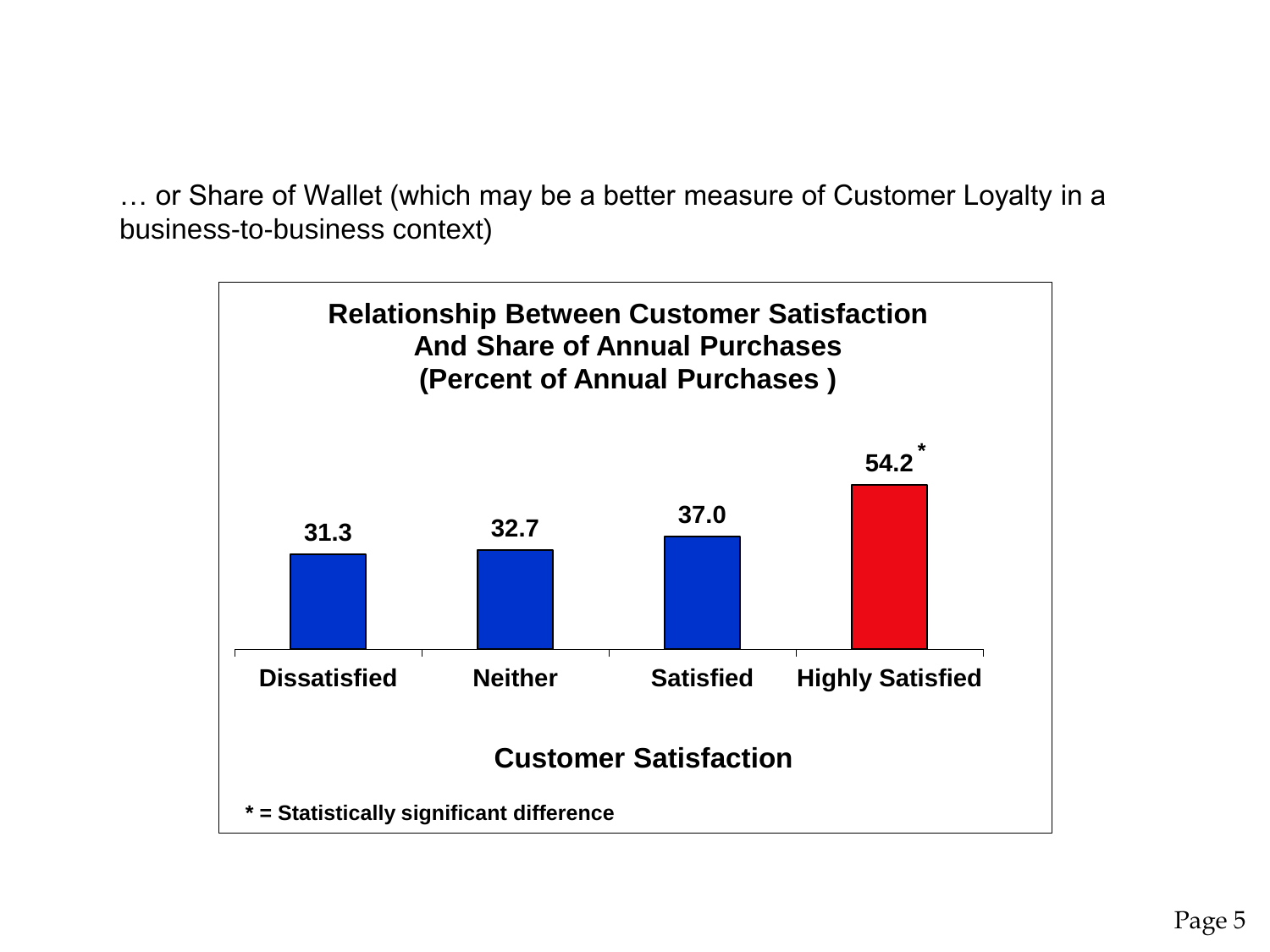… or Share of Wallet (which may be a better measure of Customer Loyalty in a business-to-business context)

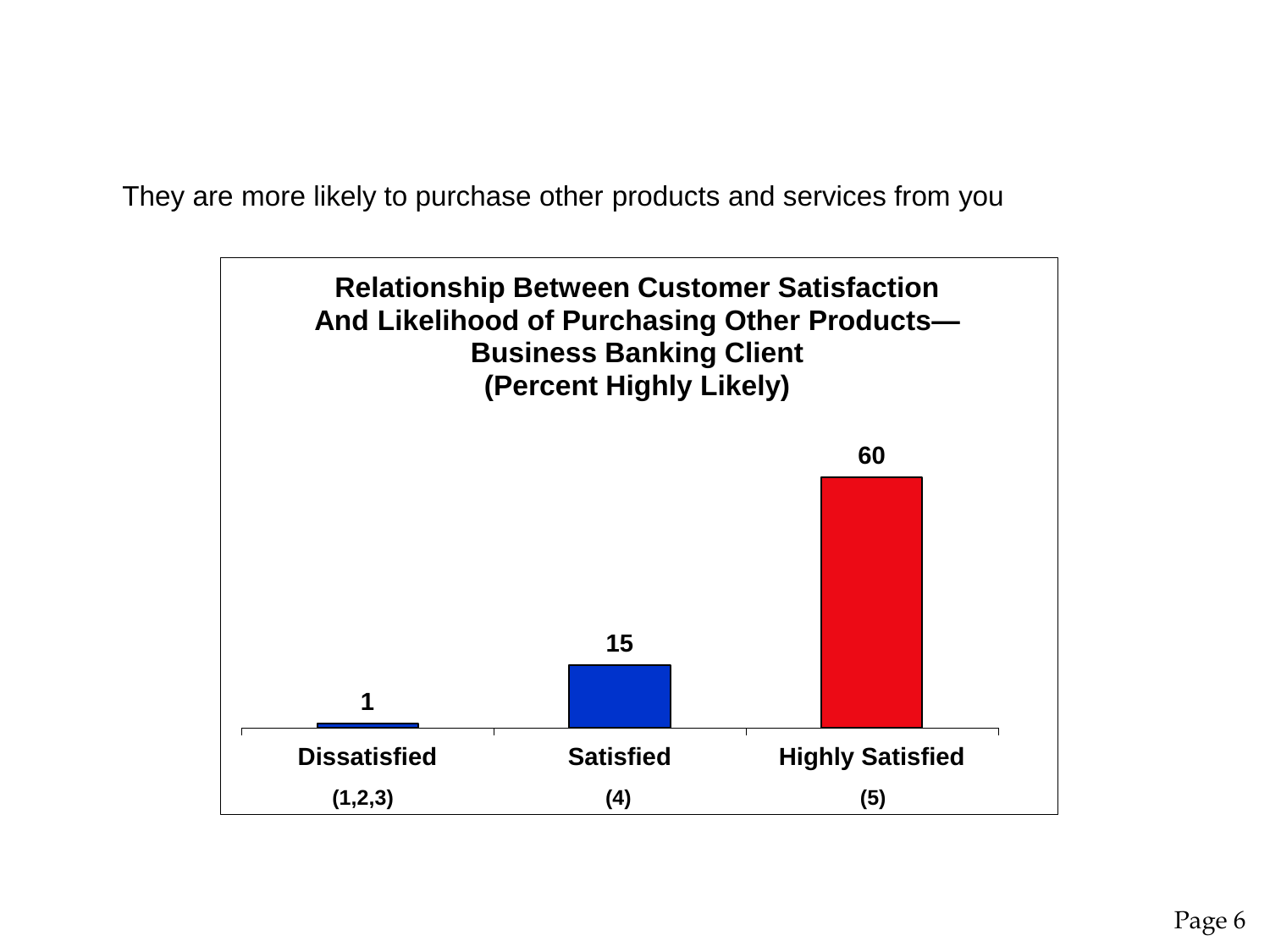They are more likely to purchase other products and services from you

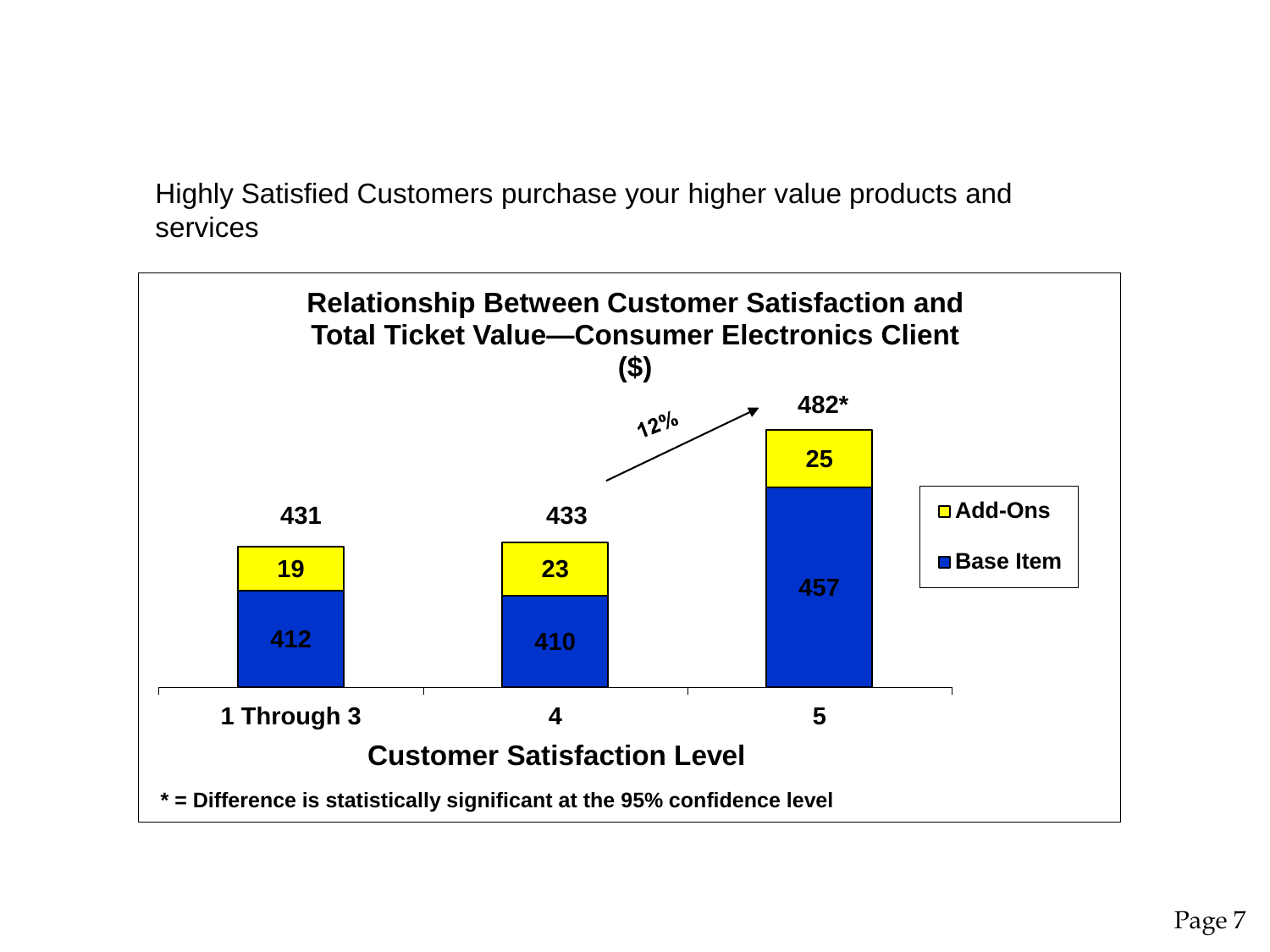Highly Satisfied Customers purchase your higher value products and services

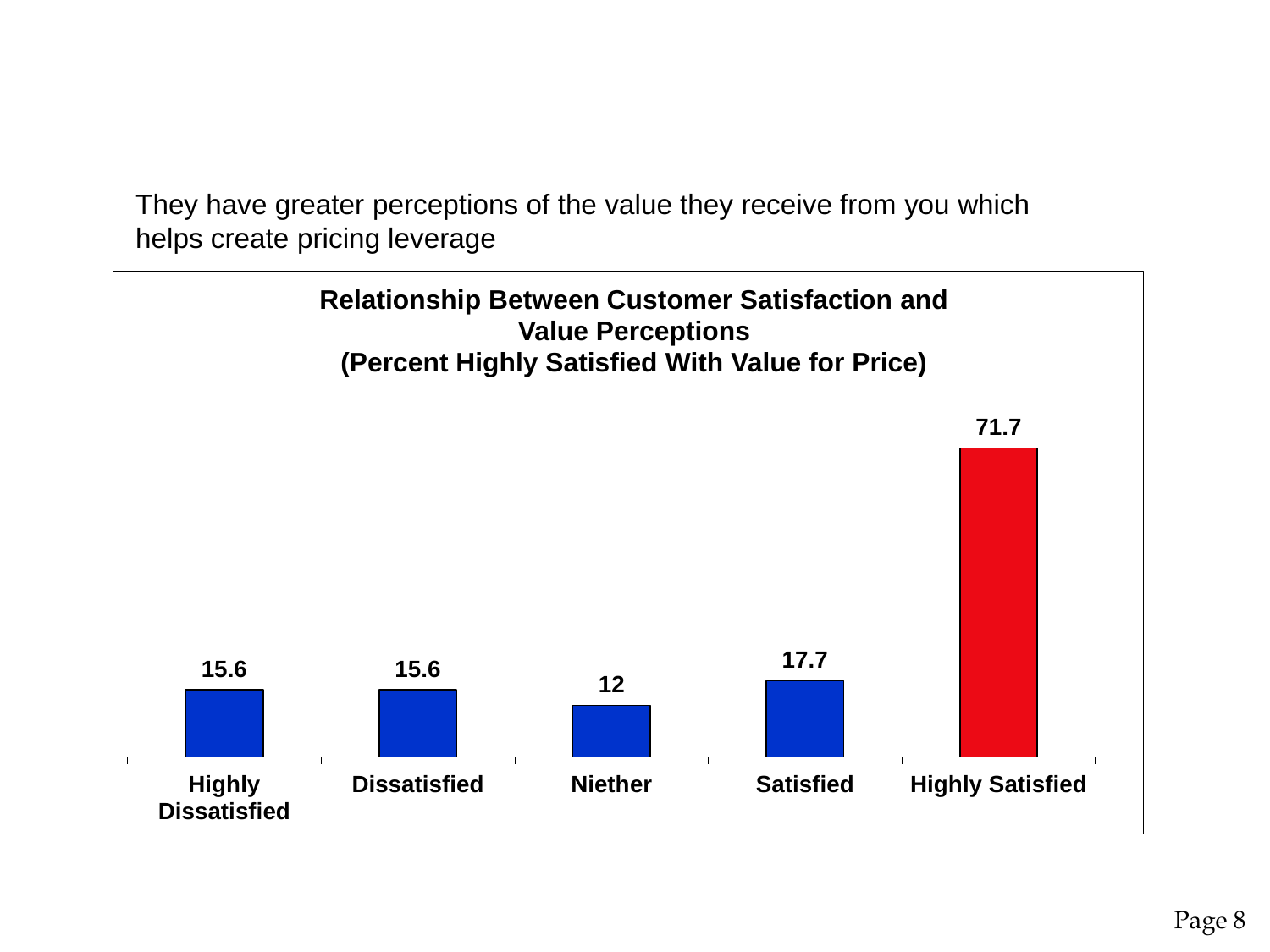They have greater perceptions of the value they receive from you which helps create pricing leverage

![](_page_7_Figure_1.jpeg)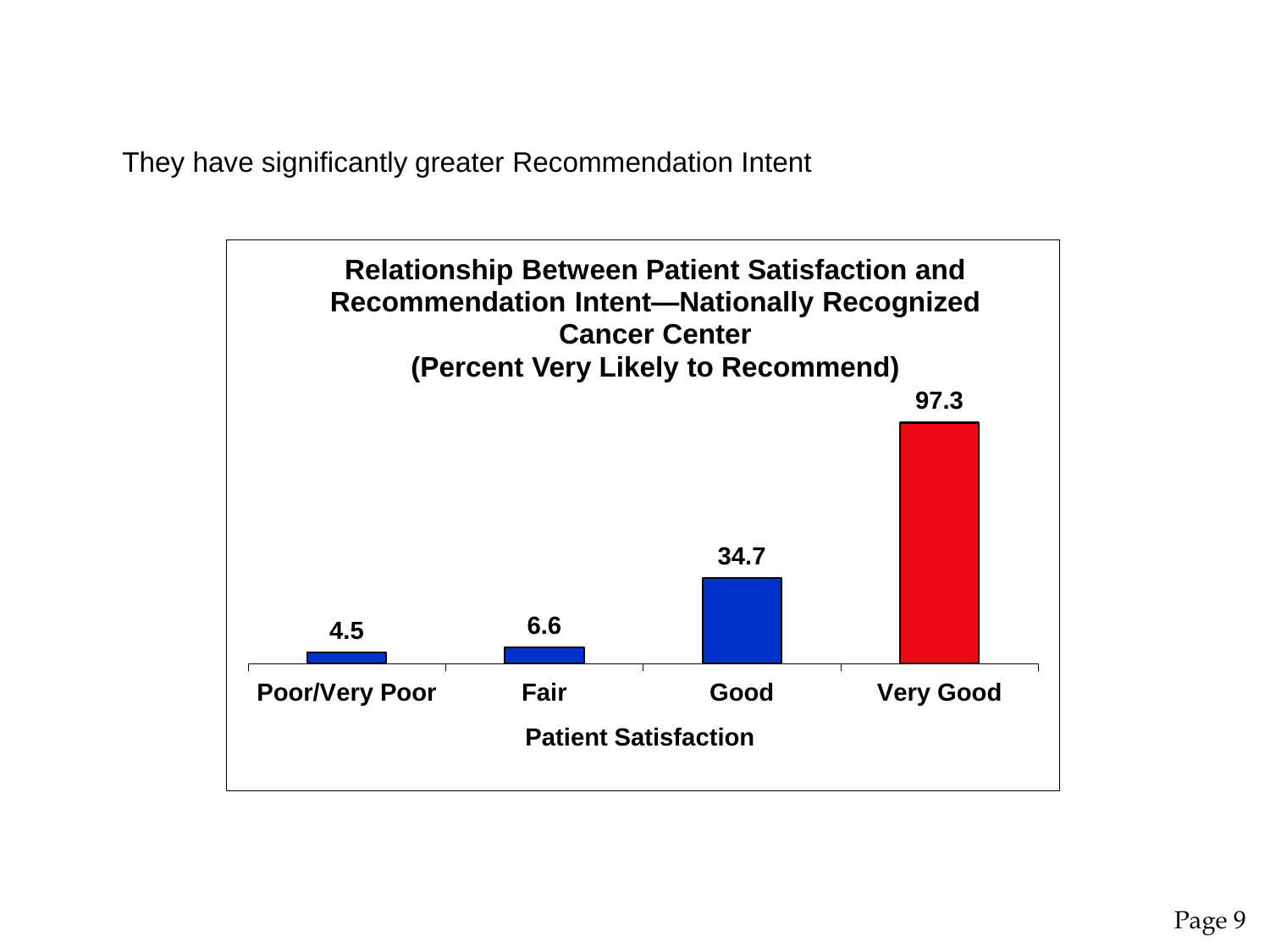They have significantly greater Recommendation Intent

![](_page_8_Figure_1.jpeg)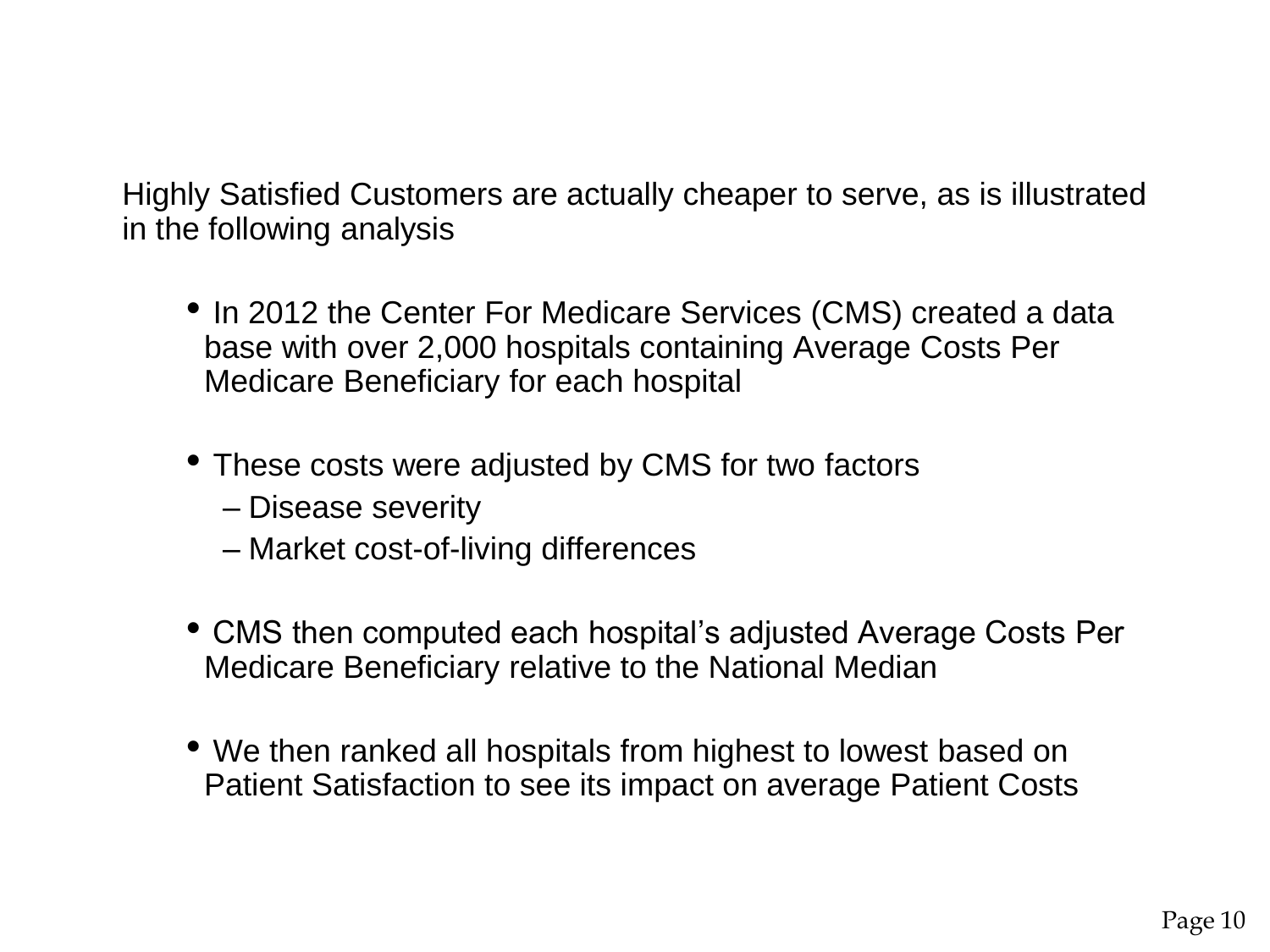Highly Satisfied Customers are actually cheaper to serve, as is illustrated in the following analysis

- In 2012 the Center For Medicare Services (CMS) created a data base with over 2,000 hospitals containing Average Costs Per Medicare Beneficiary for each hospital
- These costs were adjusted by CMS for two factors
	- Disease severity
	- Market cost-of-living differences
- CMS then computed each hospital's adjusted Average Costs Per Medicare Beneficiary relative to the National Median
- We then ranked all hospitals from highest to lowest based on Patient Satisfaction to see its impact on average Patient Costs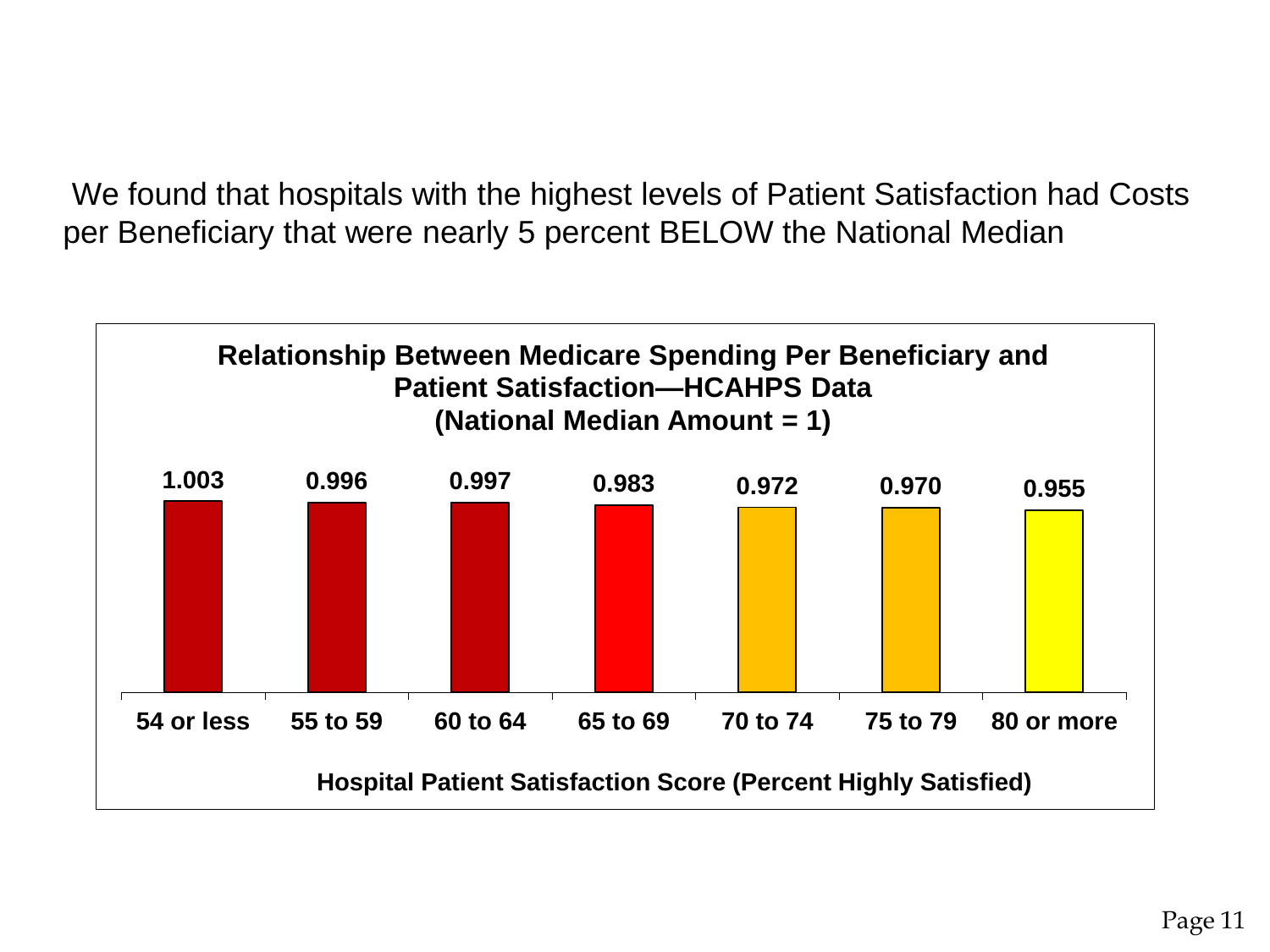We found that hospitals with the highest levels of Patient Satisfaction had Costs per Beneficiary that were nearly 5 percent BELOW the National Median

![](_page_10_Figure_1.jpeg)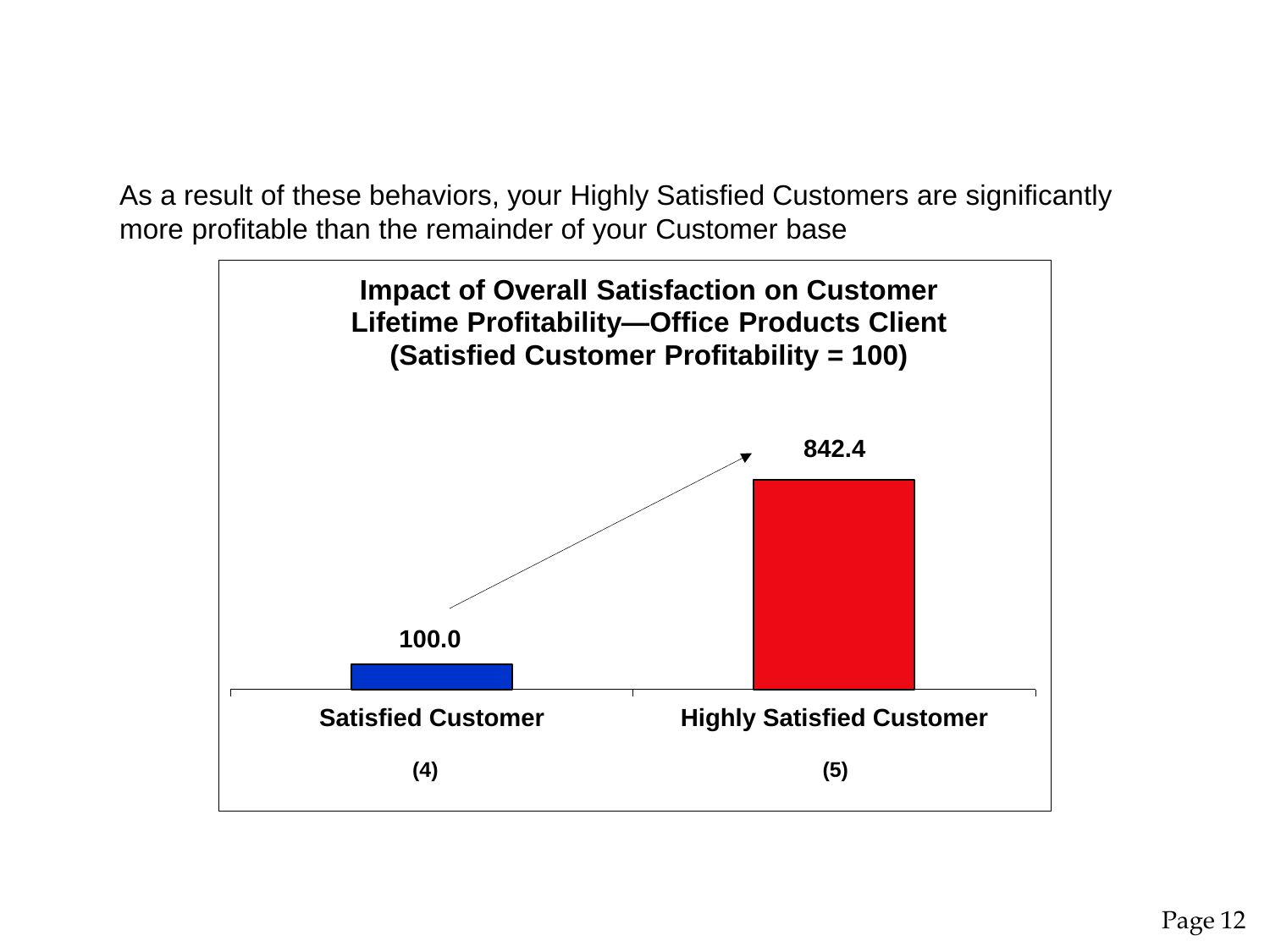As a result of these behaviors, your Highly Satisfied Customers are significantly more profitable than the remainder of your Customer base

![](_page_11_Figure_1.jpeg)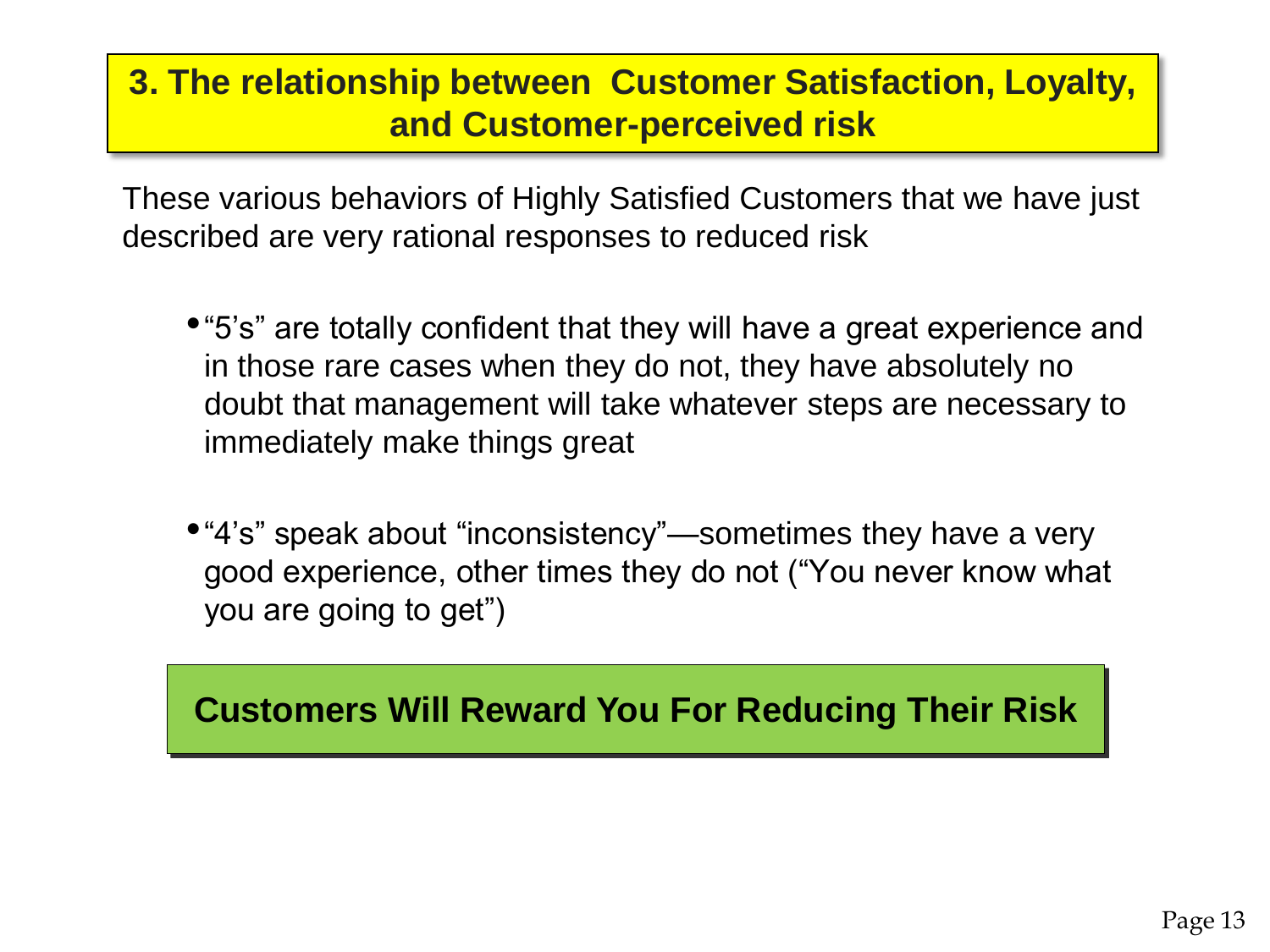### **3. The relationship between Customer Satisfaction, Loyalty, and Customer-perceived risk**

These various behaviors of Highly Satisfied Customers that we have just described are very rational responses to reduced risk

- •"5's" are totally confident that they will have a great experience and in those rare cases when they do not, they have absolutely no doubt that management will take whatever steps are necessary to immediately make things great
- •"4's" speak about "inconsistency"—sometimes they have a very good experience, other times they do not ("You never know what you are going to get")

### **Customers Will Reward You For Reducing Their Risk Customers Will Reward You For Reducing Their Risk**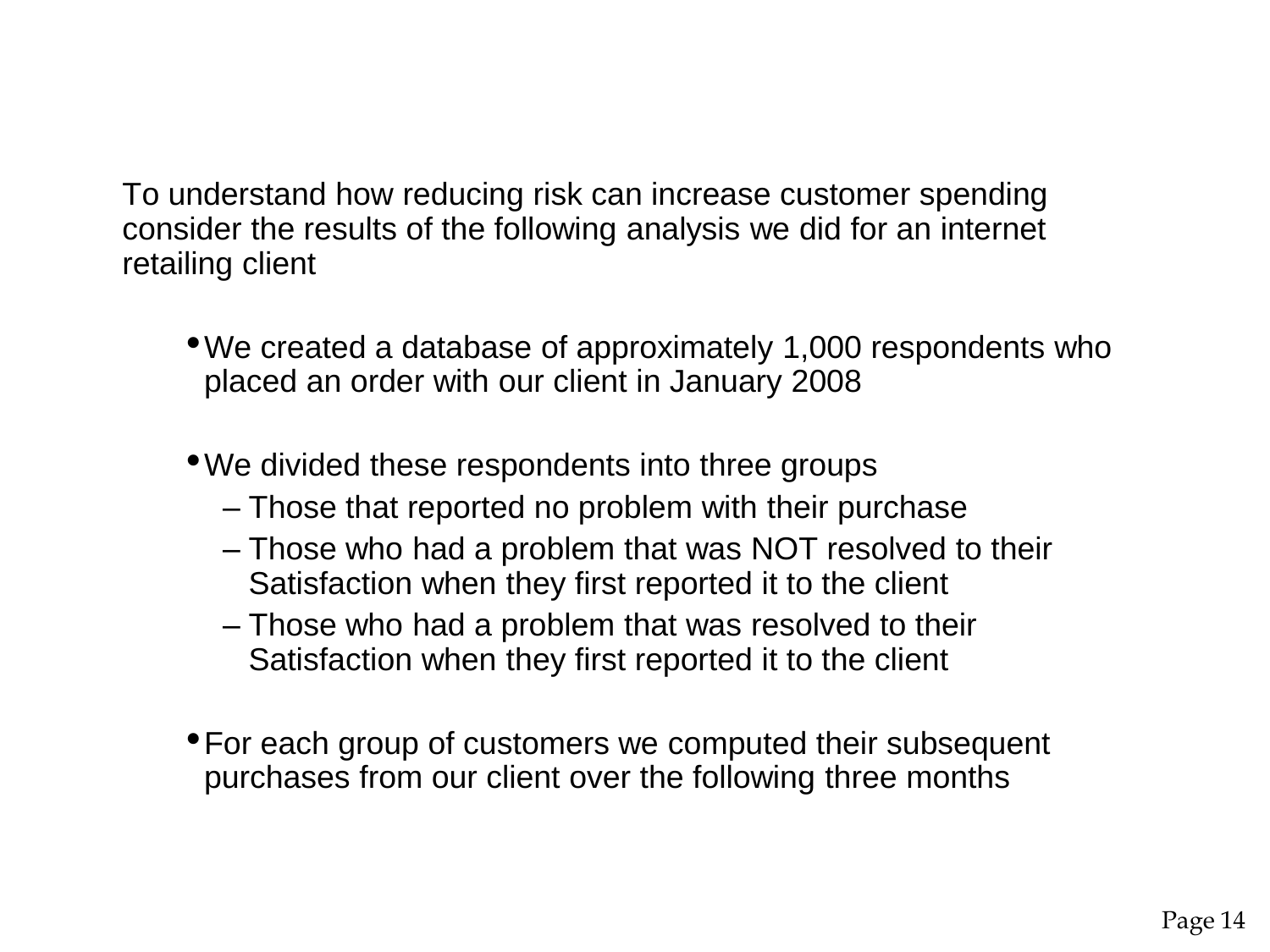To understand how reducing risk can increase customer spending consider the results of the following analysis we did for an internet retailing client

- •We created a database of approximately 1,000 respondents who placed an order with our client in January 2008
- •We divided these respondents into three groups
	- Those that reported no problem with their purchase
	- Those who had a problem that was NOT resolved to their Satisfaction when they first reported it to the client
	- Those who had a problem that was resolved to their Satisfaction when they first reported it to the client
- •For each group of customers we computed their subsequent purchases from our client over the following three months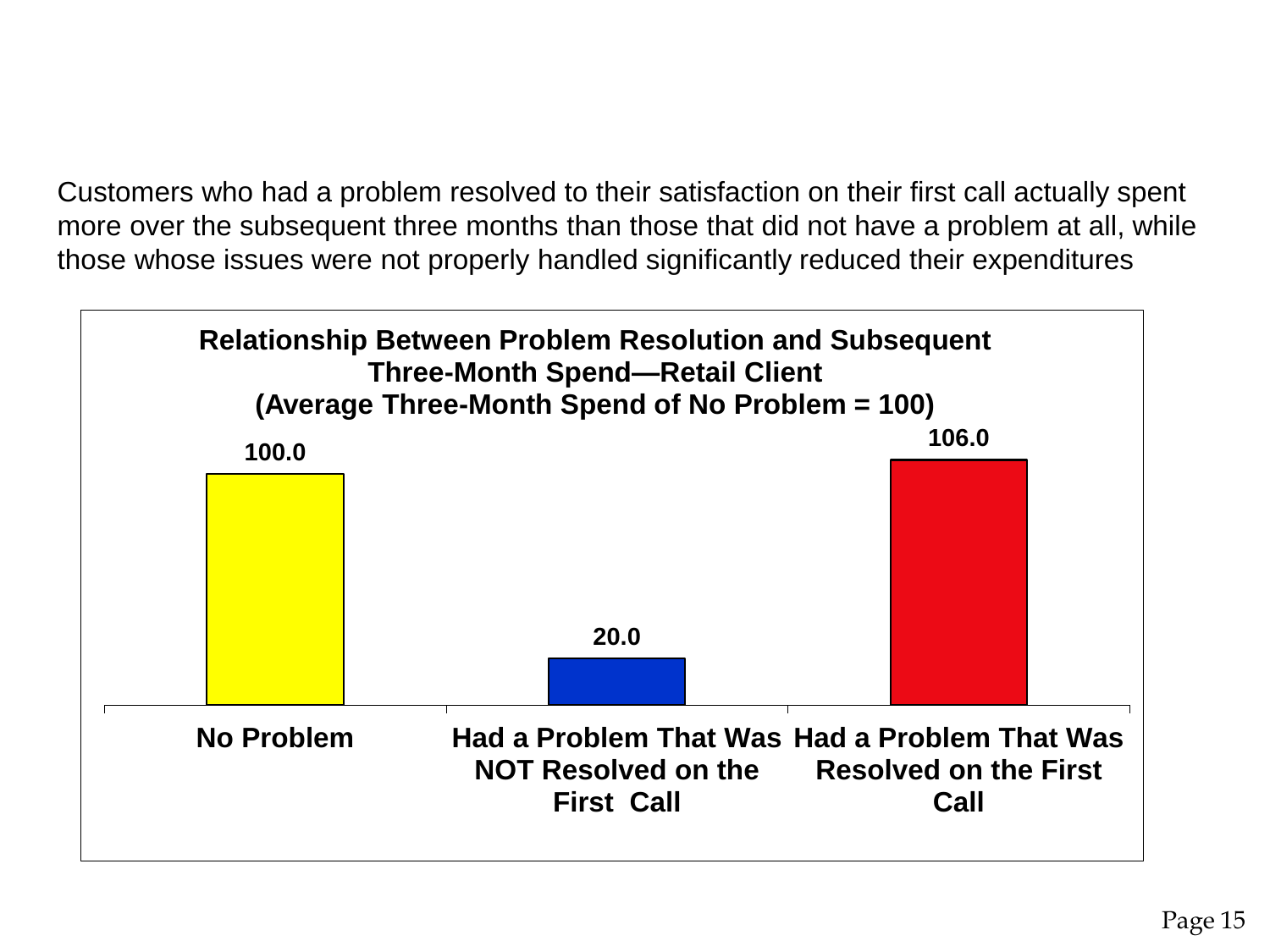Customers who had a problem resolved to their satisfaction on their first call actually spent more over the subsequent three months than those that did not have a problem at all, while those whose issues were not properly handled significantly reduced their expenditures

![](_page_14_Figure_1.jpeg)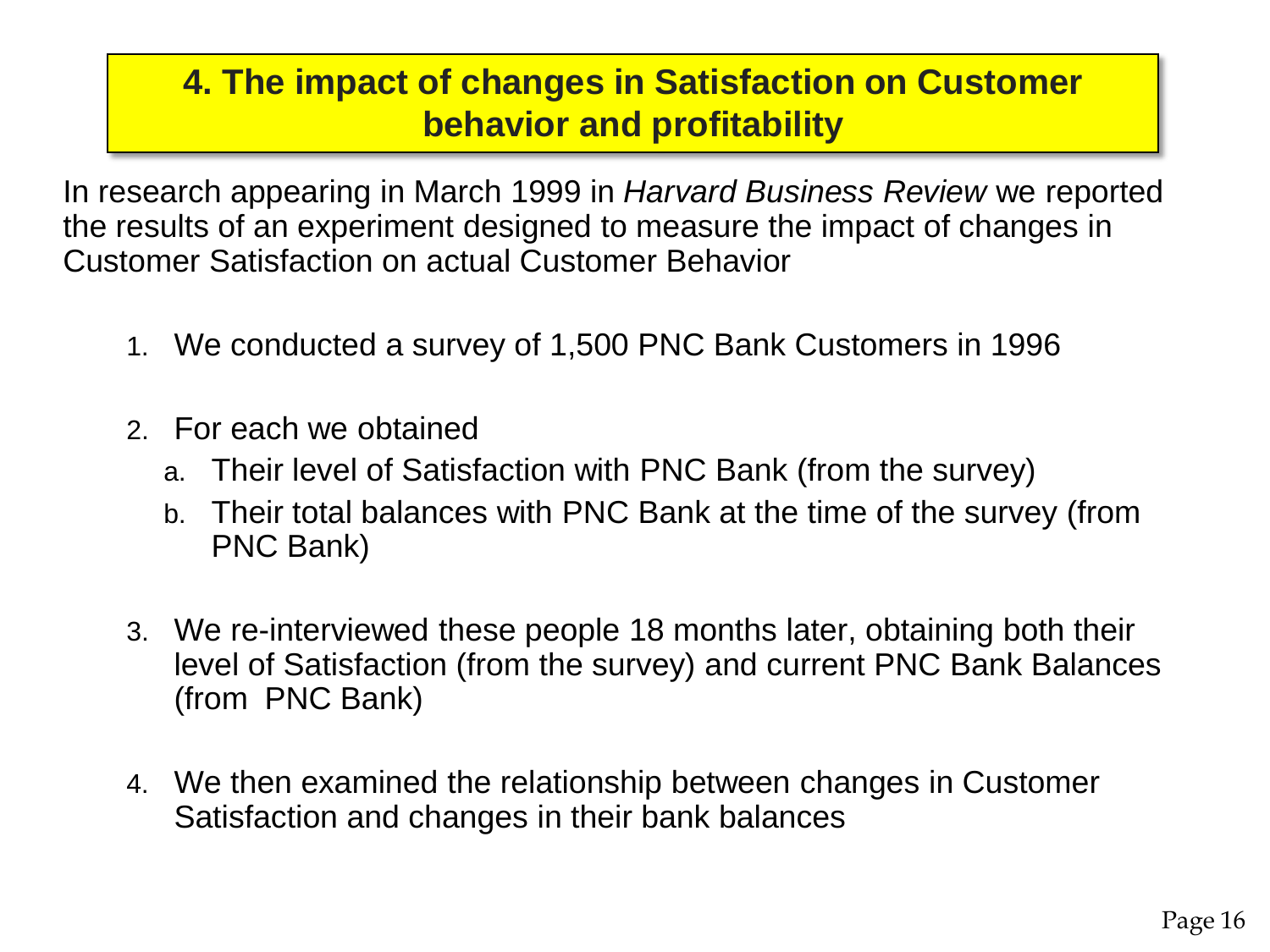### **4. The impact of changes in Satisfaction on Customer behavior and profitability**

In research appearing in March 1999 in *Harvard Business Review* we reported the results of an experiment designed to measure the impact of changes in Customer Satisfaction on actual Customer Behavior

- 1. We conducted a survey of 1,500 PNC Bank Customers in 1996
- 2. For each we obtained
	- a. Their level of Satisfaction with PNC Bank (from the survey)
	- b. Their total balances with PNC Bank at the time of the survey (from PNC Bank)
- 3. We re-interviewed these people 18 months later, obtaining both their level of Satisfaction (from the survey) and current PNC Bank Balances (from PNC Bank)
- 4. We then examined the relationship between changes in Customer Satisfaction and changes in their bank balances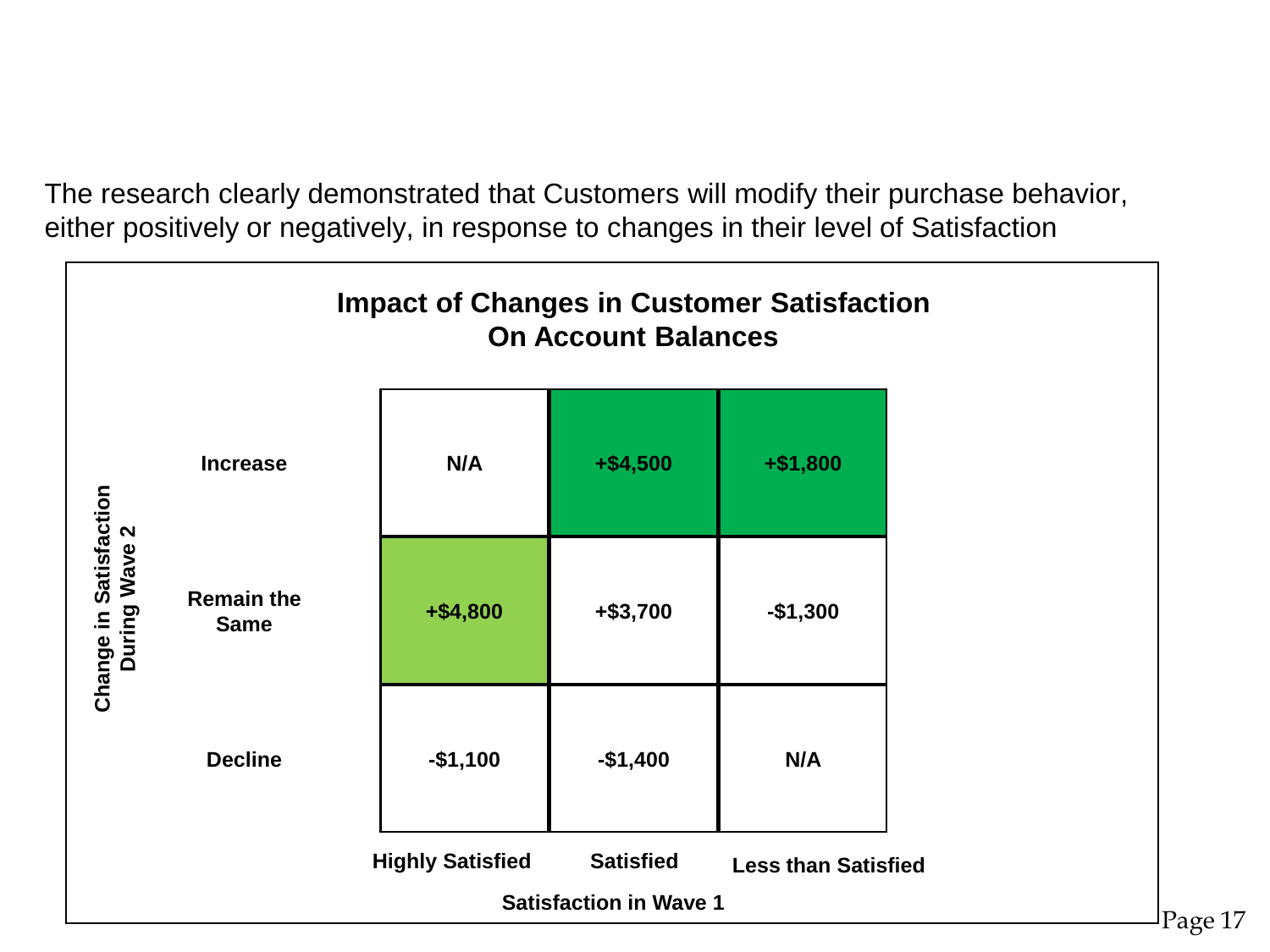The research clearly demonstrated that Customers will modify their purchase behavior, either positively or negatively, in response to changes in their level of Satisfaction

![](_page_16_Figure_1.jpeg)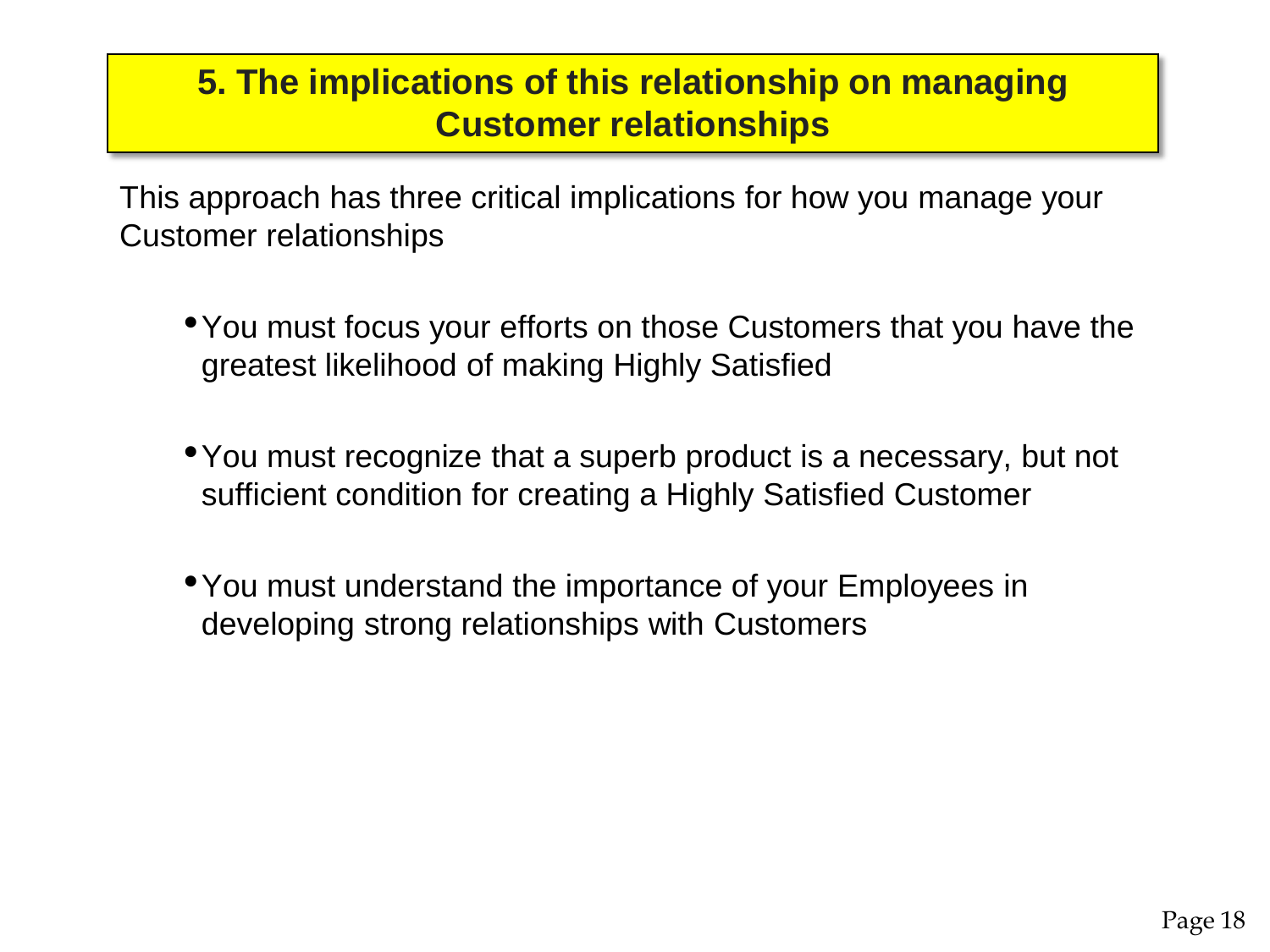#### **5. The implications of this relationship on managing Customer relationships**

This approach has three critical implications for how you manage your Customer relationships

- •You must focus your efforts on those Customers that you have the greatest likelihood of making Highly Satisfied
- •You must recognize that a superb product is a necessary, but not sufficient condition for creating a Highly Satisfied Customer
- •You must understand the importance of your Employees in developing strong relationships with Customers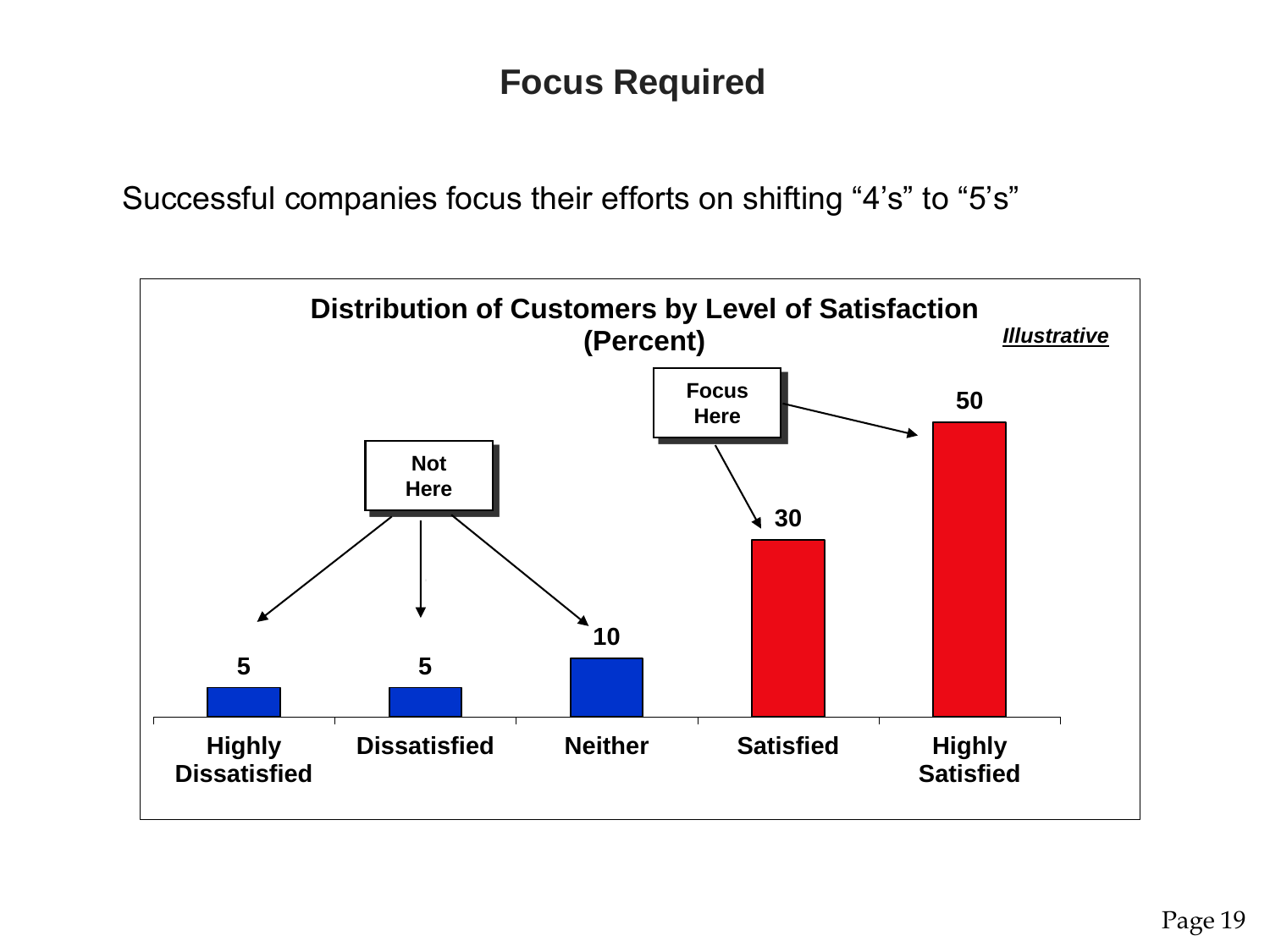### **Focus Required**

Successful companies focus their efforts on shifting "4's" to "5's"

![](_page_18_Figure_2.jpeg)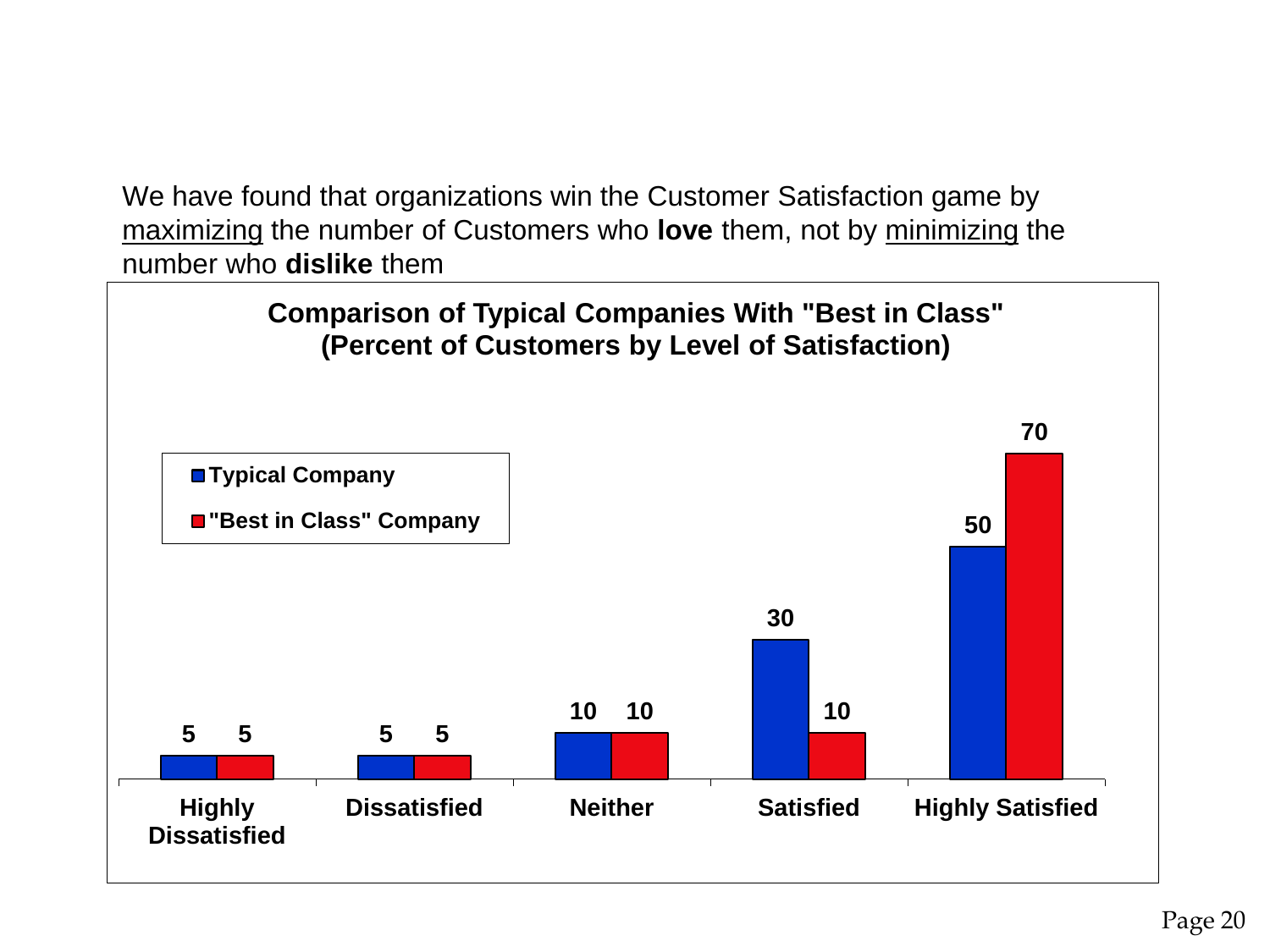We have found that organizations win the Customer Satisfaction game by maximizing the number of Customers who **love** them, not by minimizing the number who **dislike** them

![](_page_19_Figure_1.jpeg)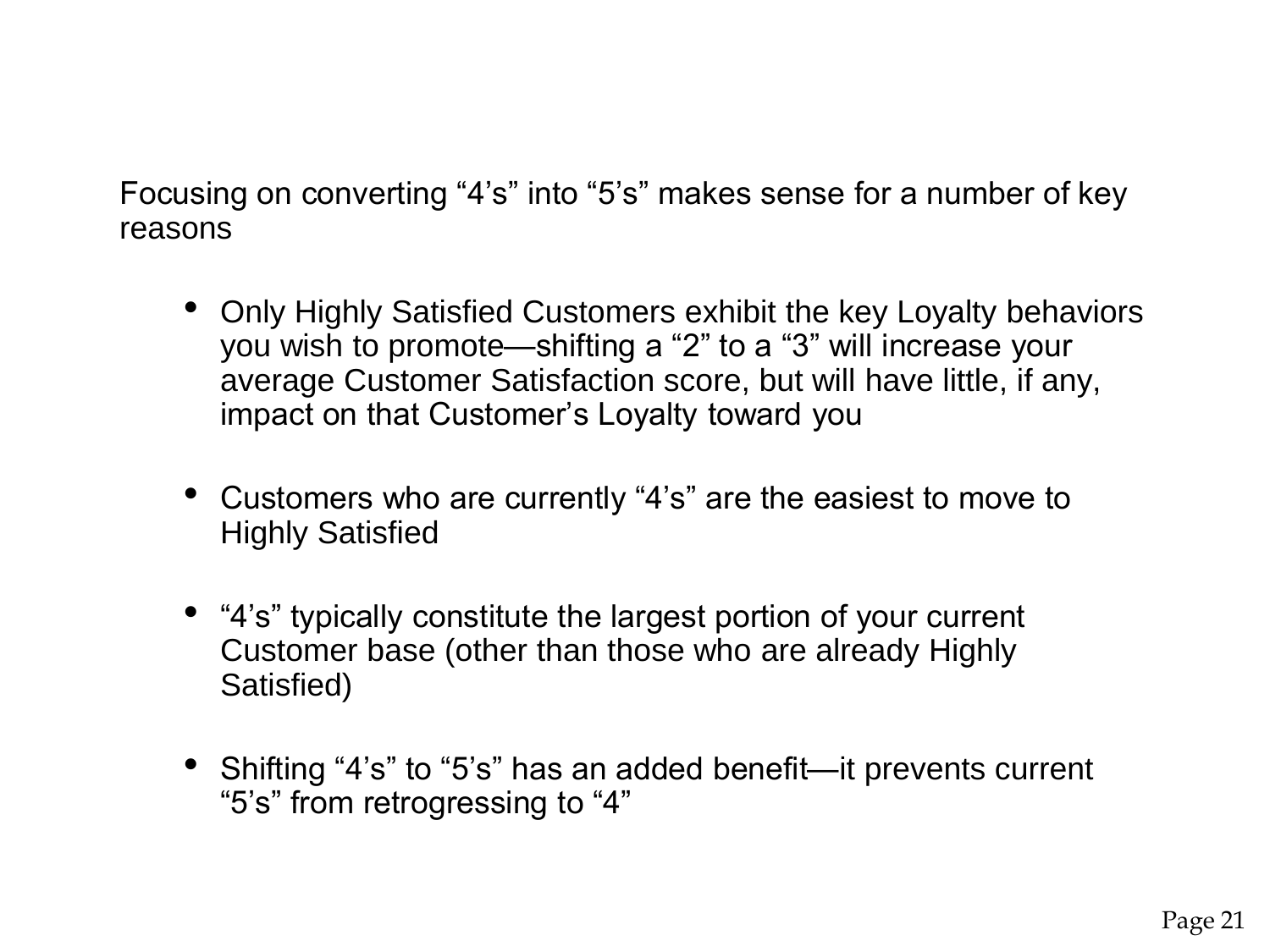Focusing on converting "4's" into "5's" makes sense for a number of key reasons

- Only Highly Satisfied Customers exhibit the key Loyalty behaviors you wish to promote—shifting a "2" to a "3" will increase your average Customer Satisfaction score, but will have little, if any, impact on that Customer's Loyalty toward you
- Customers who are currently "4's" are the easiest to move to Highly Satisfied
- "4's" typically constitute the largest portion of your current Customer base (other than those who are already Highly Satisfied)
- Shifting "4's" to "5's" has an added benefit—it prevents current "5's" from retrogressing to "4"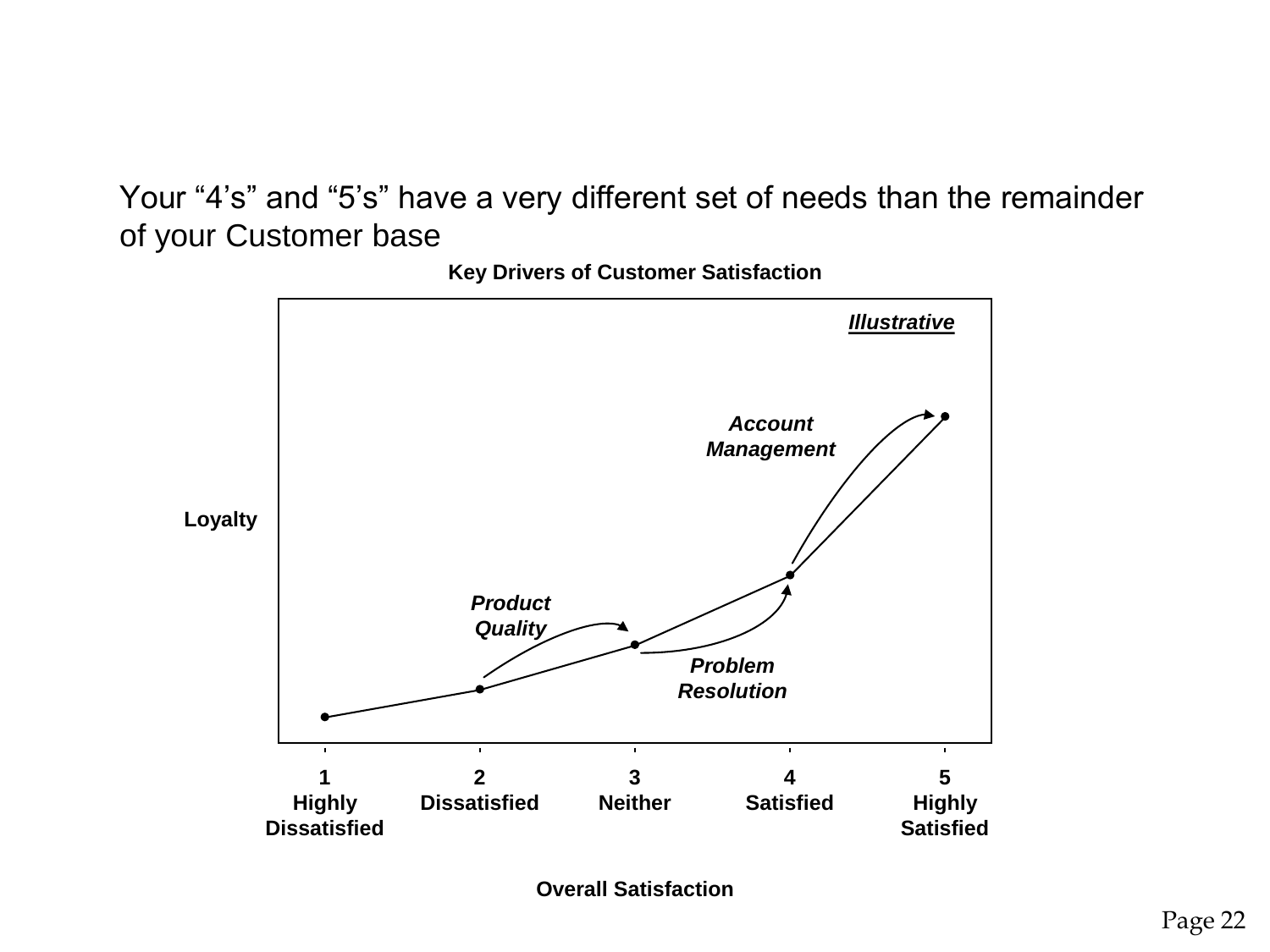Your "4's" and "5's" have a very different set of needs than the remainder of your Customer base

![](_page_21_Figure_1.jpeg)

**Key Drivers of Customer Satisfaction**

**Overall Satisfaction**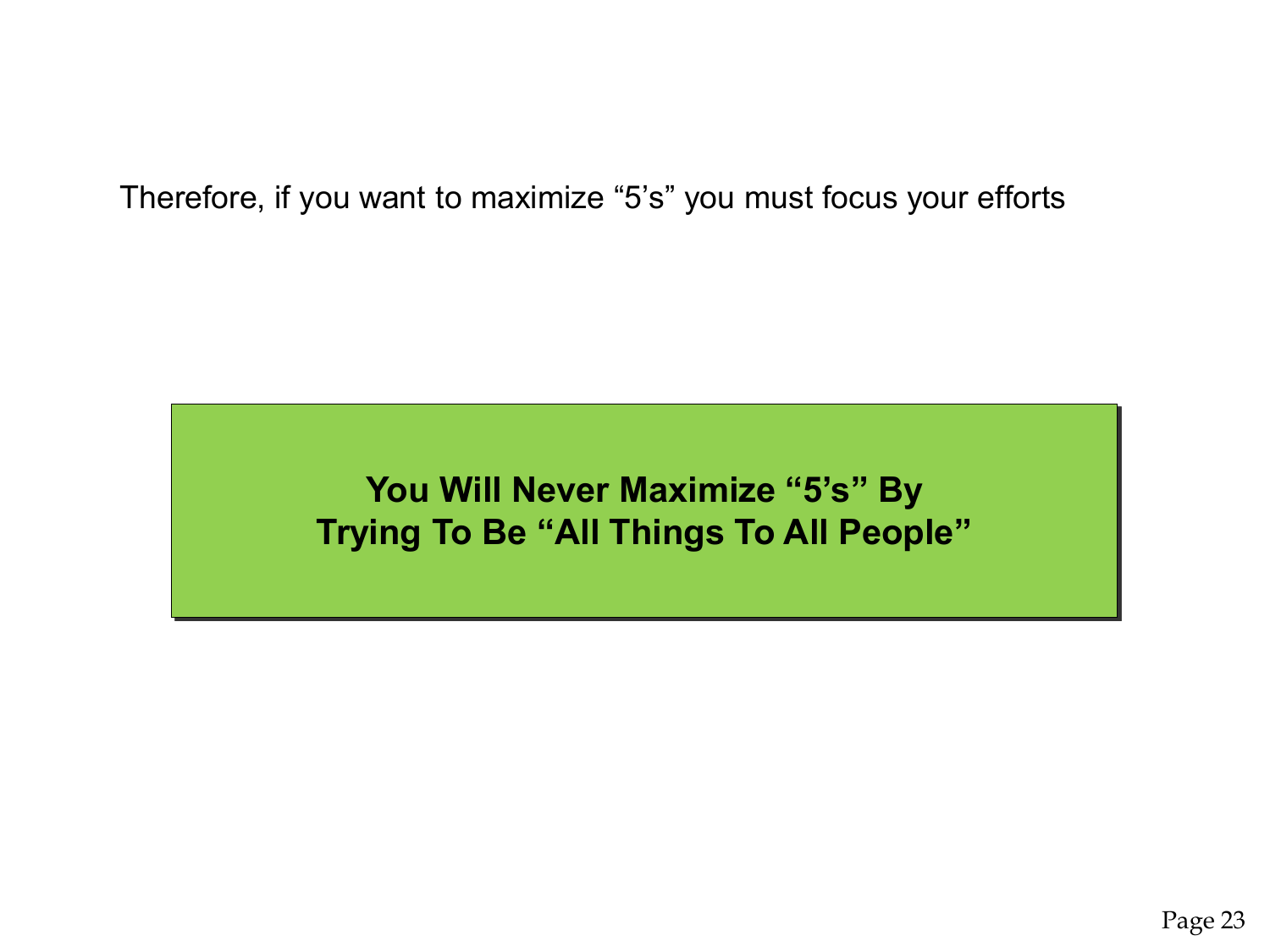Therefore, if you want to maximize "5's" you must focus your efforts

**You Will Never Maximize "5's" By Trying To Be "All Things To All People"**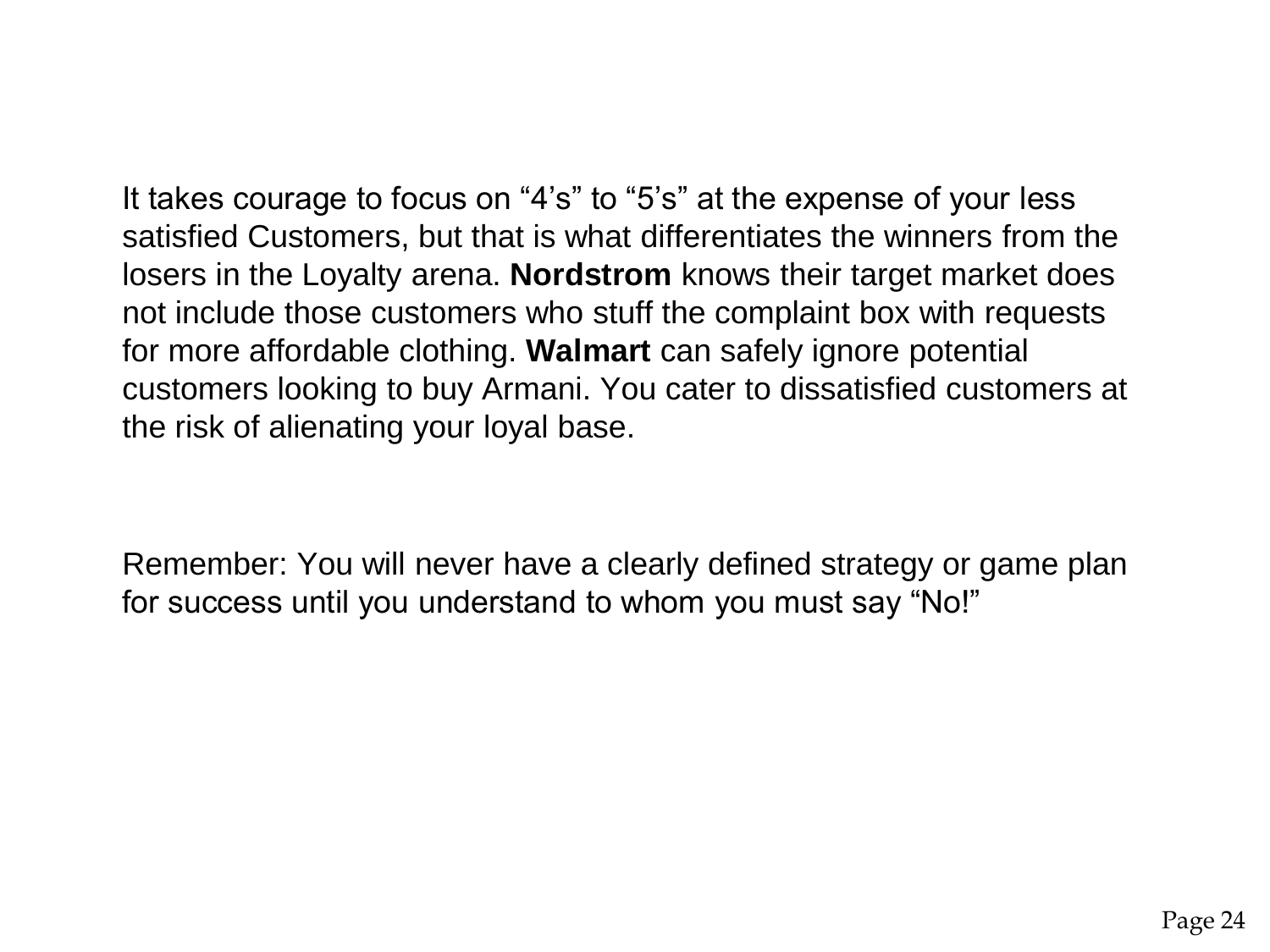It takes courage to focus on "4's" to "5's" at the expense of your less satisfied Customers, but that is what differentiates the winners from the losers in the Loyalty arena. **Nordstrom** knows their target market does not include those customers who stuff the complaint box with requests for more affordable clothing. **Walmart** can safely ignore potential customers looking to buy Armani. You cater to dissatisfied customers at the risk of alienating your loyal base.

Remember: You will never have a clearly defined strategy or game plan for success until you understand to whom you must say "No!"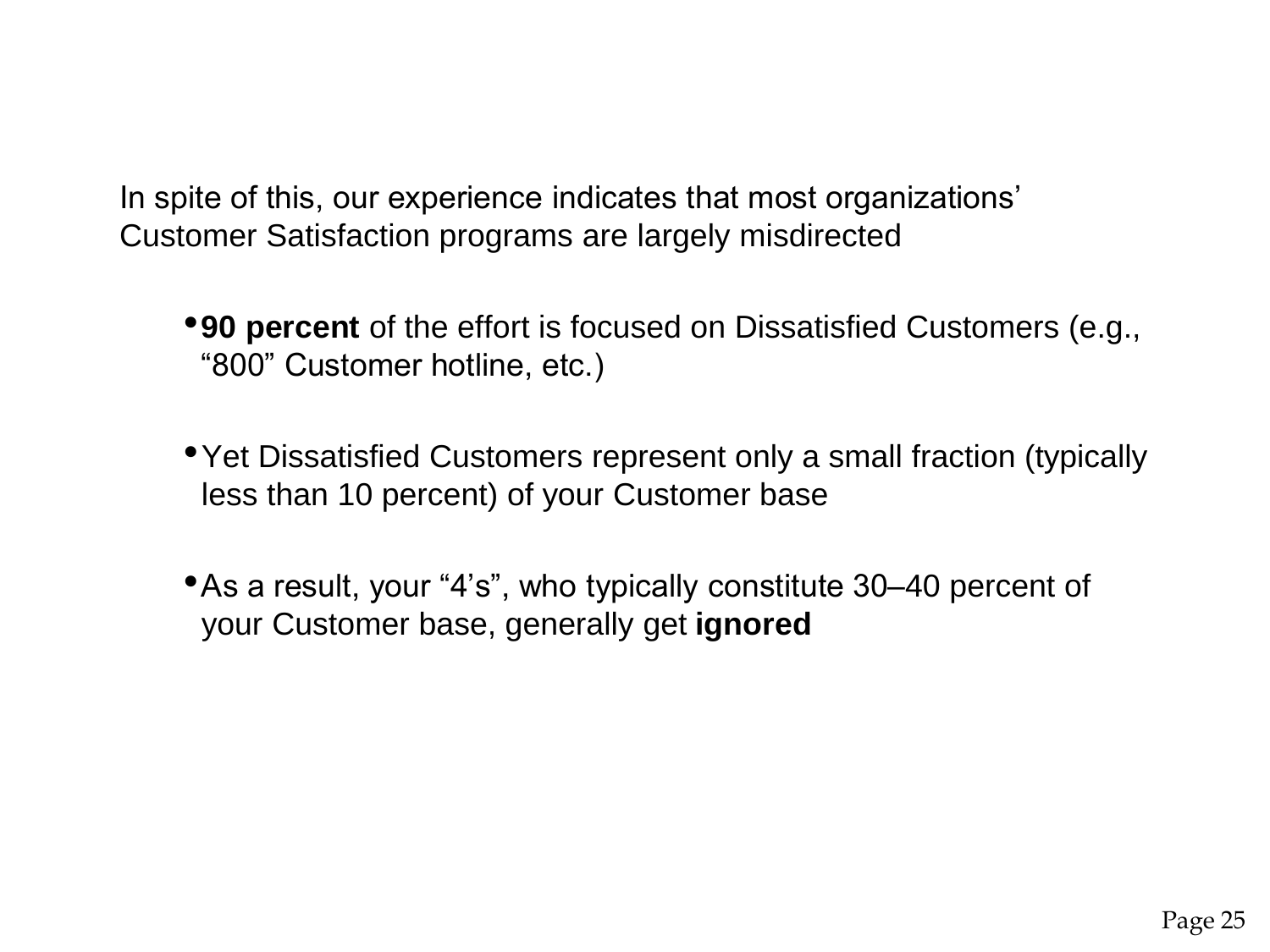In spite of this, our experience indicates that most organizations' Customer Satisfaction programs are largely misdirected

- •**90 percent** of the effort is focused on Dissatisfied Customers (e.g., "800" Customer hotline, etc.)
- Yet Dissatisfied Customers represent only a small fraction (typically less than 10 percent) of your Customer base
- •As a result, your "4's", who typically constitute 30–40 percent of your Customer base, generally get **ignored**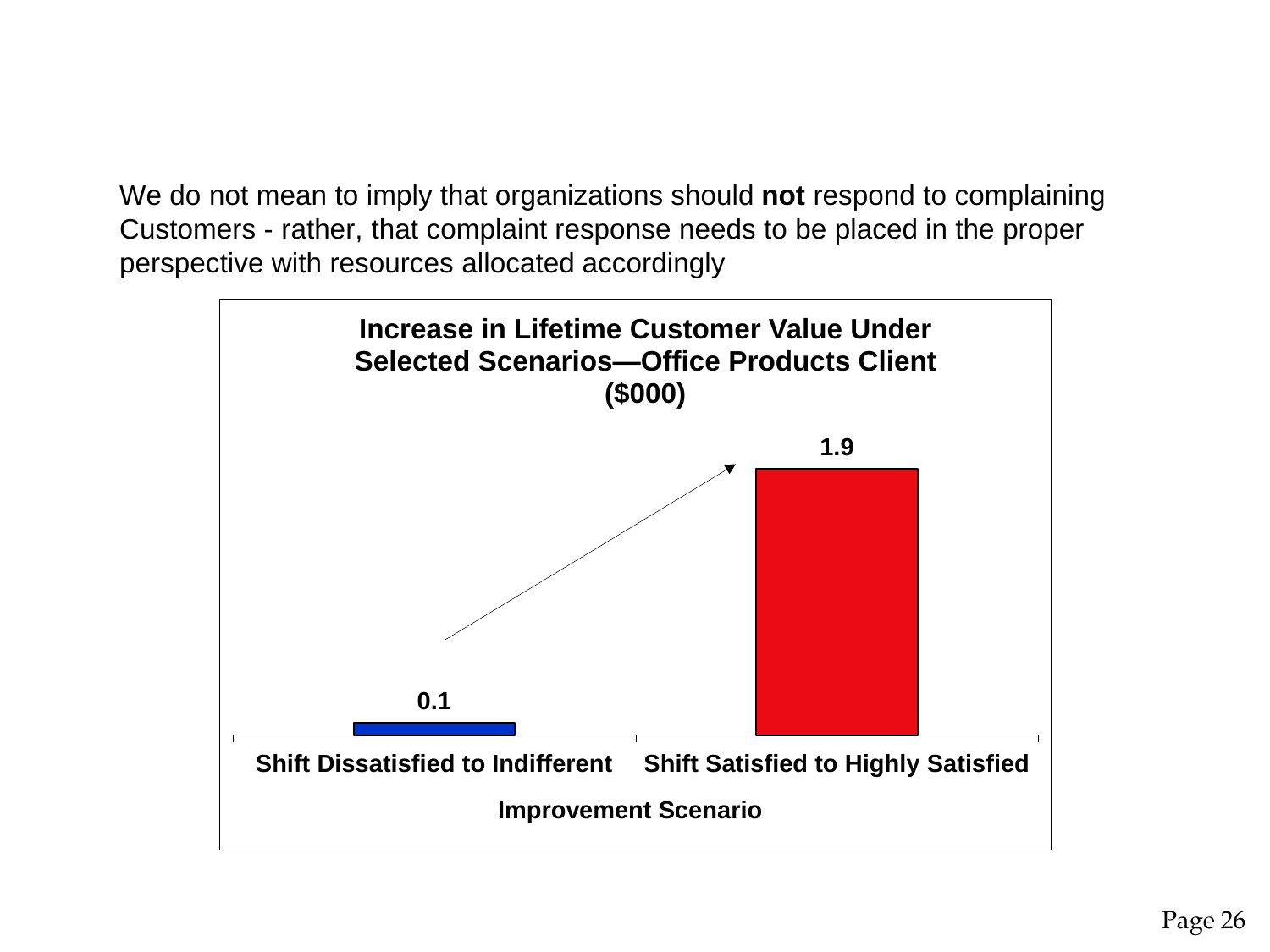We do not mean to imply that organizations should **not** respond to complaining Customers - rather, that complaint response needs to be placed in the proper perspective with resources allocated accordingly

![](_page_25_Figure_1.jpeg)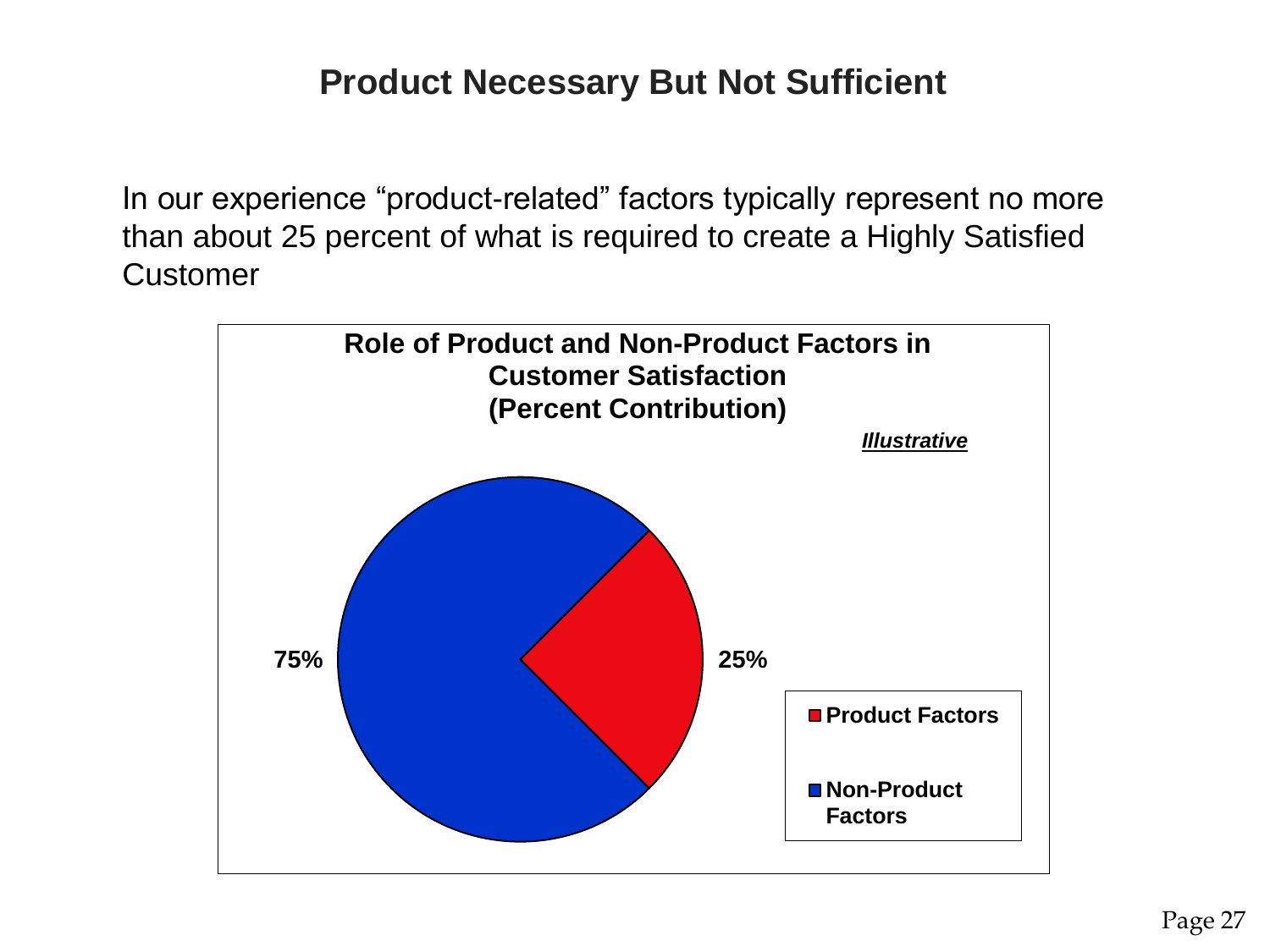#### **Product Necessary But Not Sufficient**

In our experience "product-related" factors typically represent no more than about 25 percent of what is required to create a Highly Satisfied **Customer** 

![](_page_26_Figure_2.jpeg)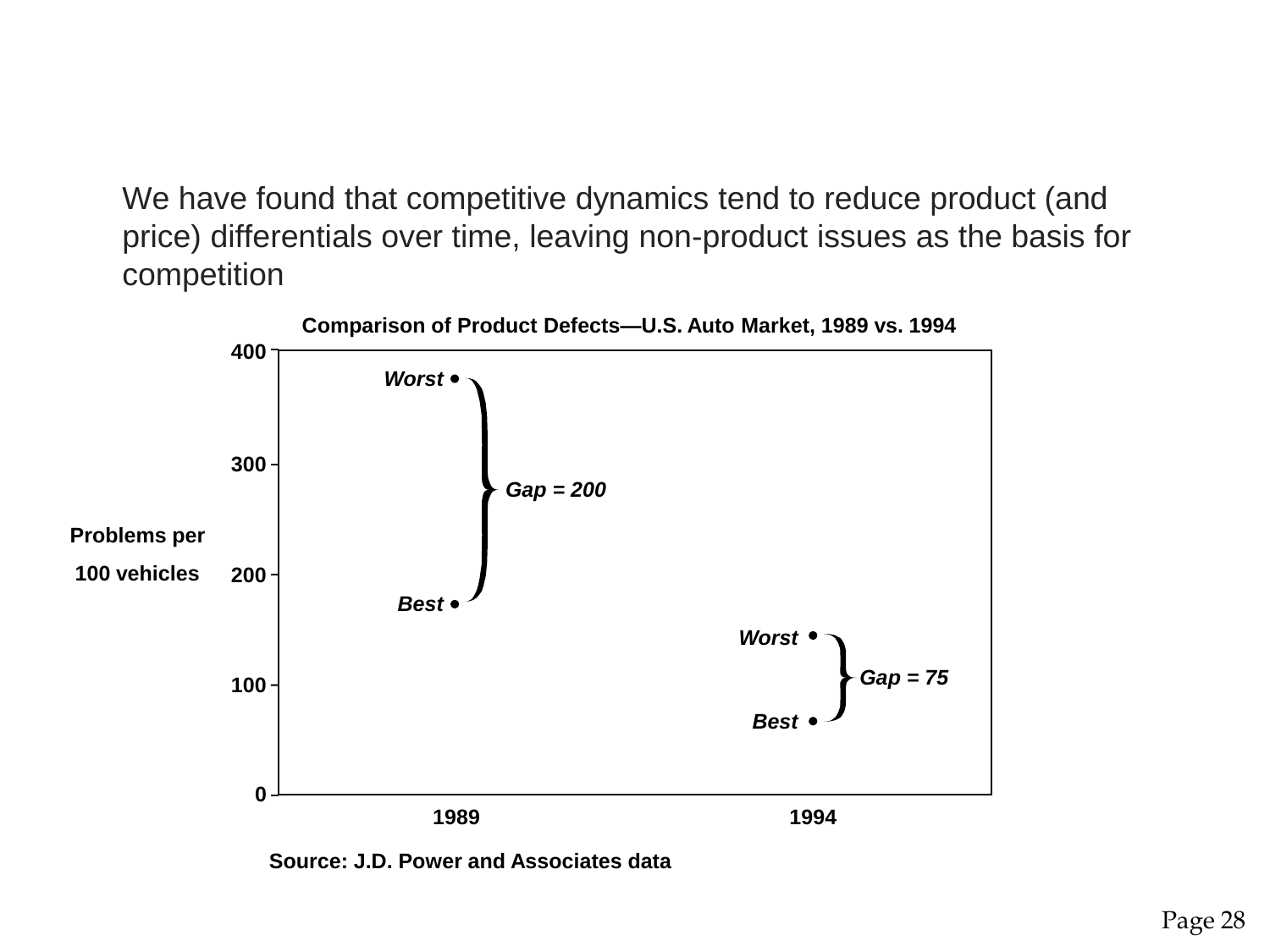We have found that competitive dynamics tend to reduce product (and price) differentials over time, leaving non-product issues as the basis for competition

![](_page_27_Figure_1.jpeg)

**Source: J.D. Power and Associates data**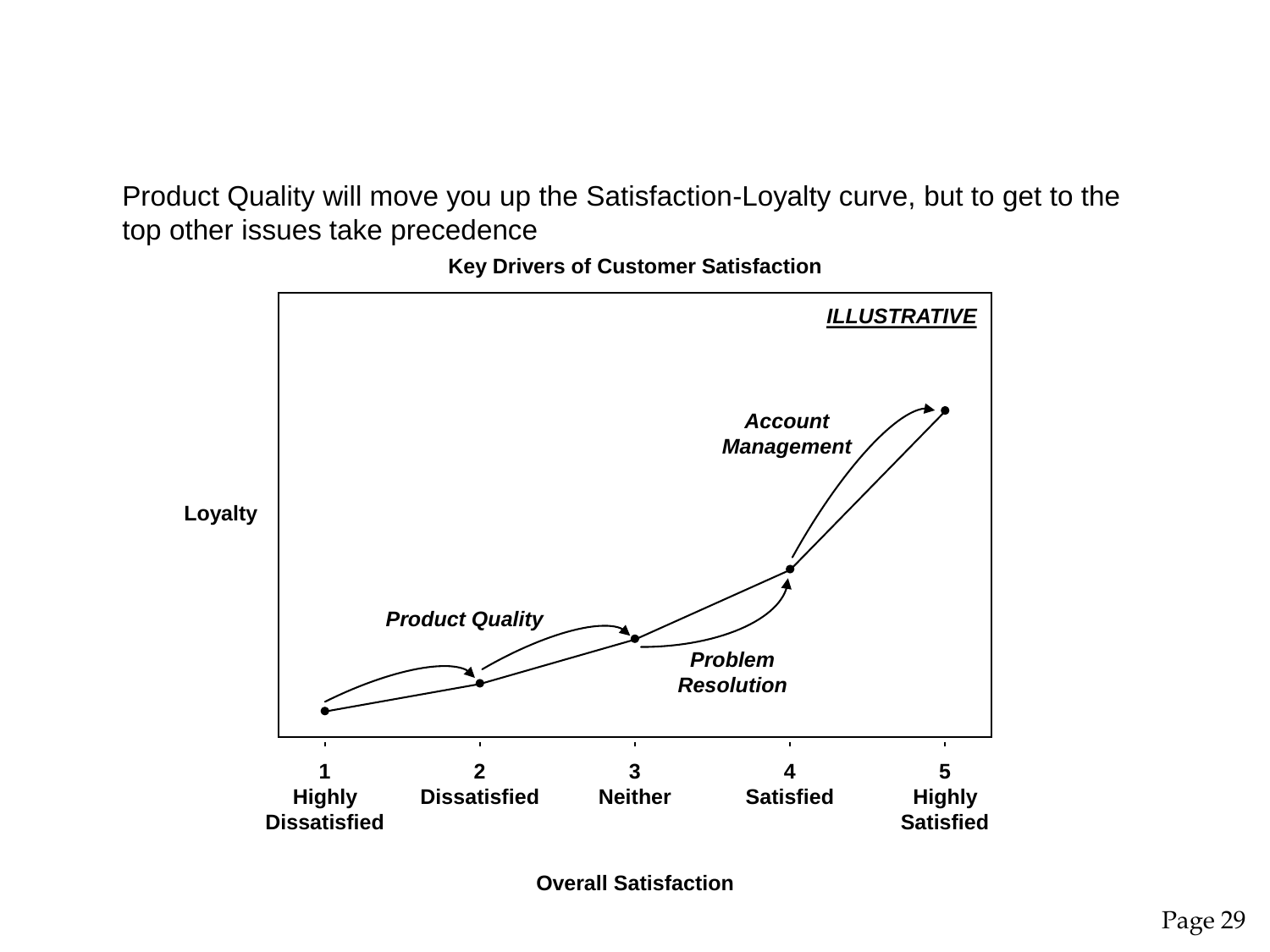Product Quality will move you up the Satisfaction-Loyalty curve, but to get to the top other issues take precedence

![](_page_28_Figure_1.jpeg)

**Key Drivers of Customer Satisfaction**

**Overall Satisfaction**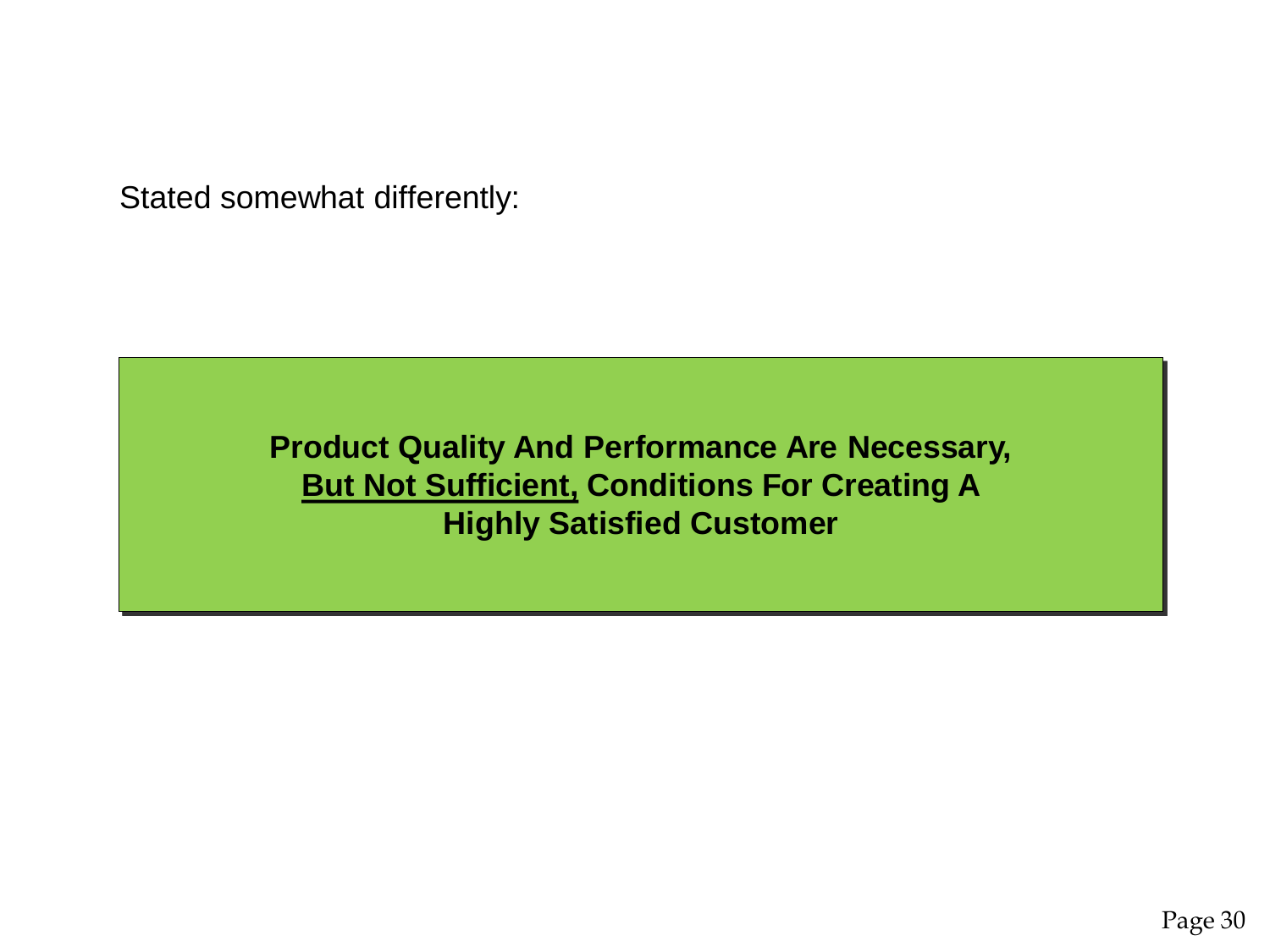Stated somewhat differently:

**Product Quality And Performance Are Necessary, But Not Sufficient, Conditions For Creating A Highly Satisfied Customer**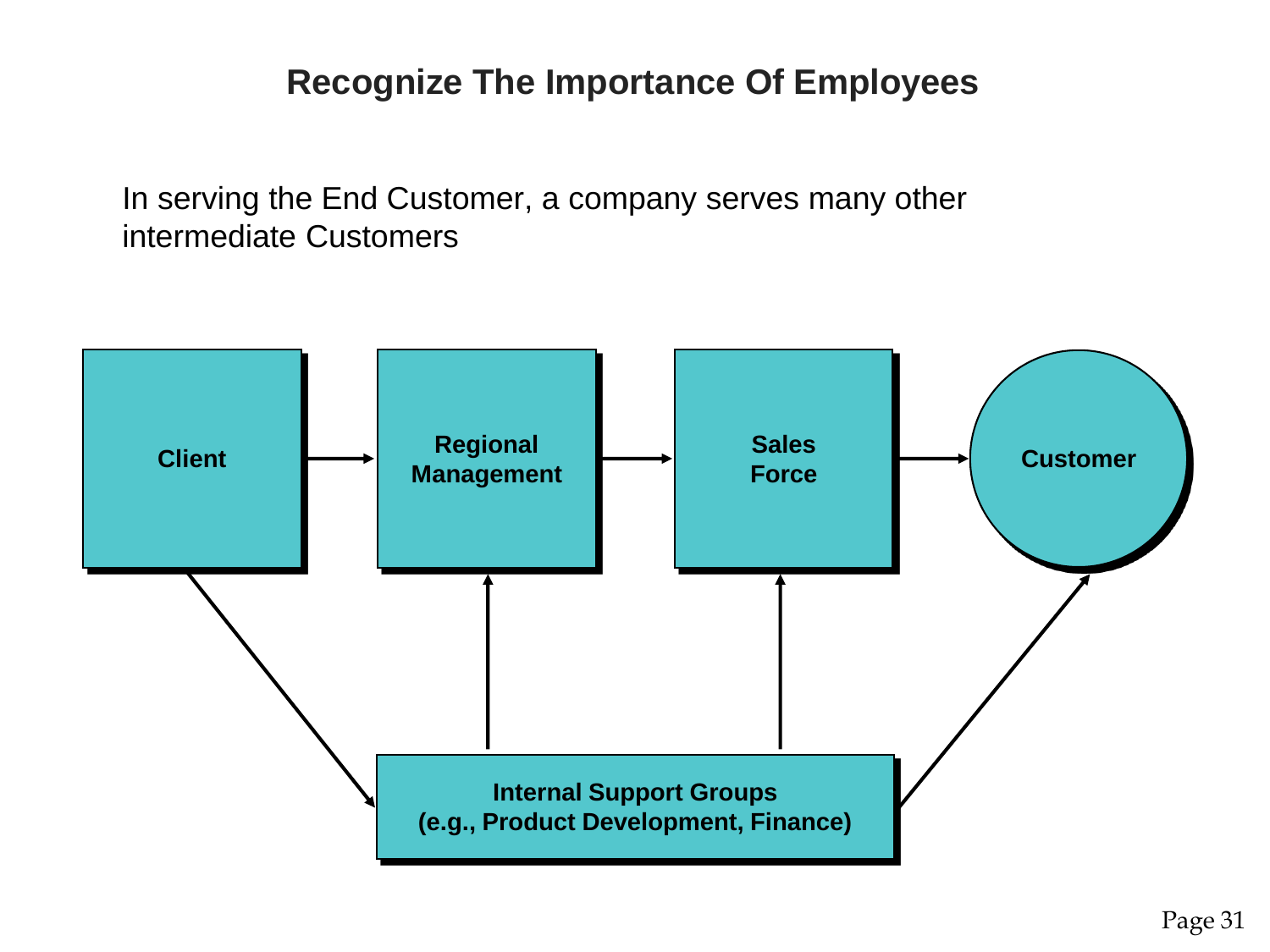#### **Recognize The Importance Of Employees**

In serving the End Customer, a company serves many other intermediate Customers

![](_page_30_Figure_2.jpeg)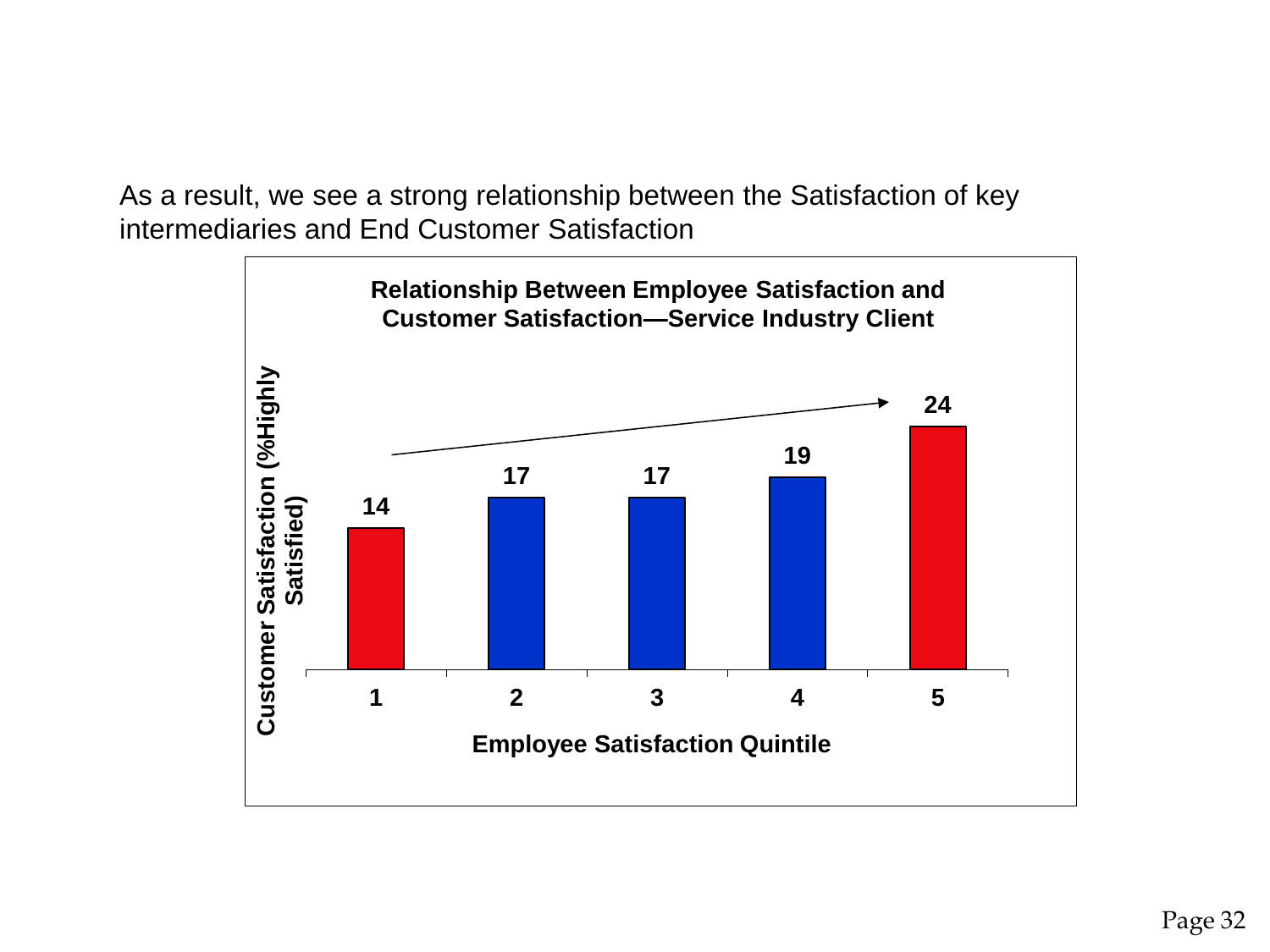As a result, we see a strong relationship between the Satisfaction of key intermediaries and End Customer Satisfaction

![](_page_31_Figure_1.jpeg)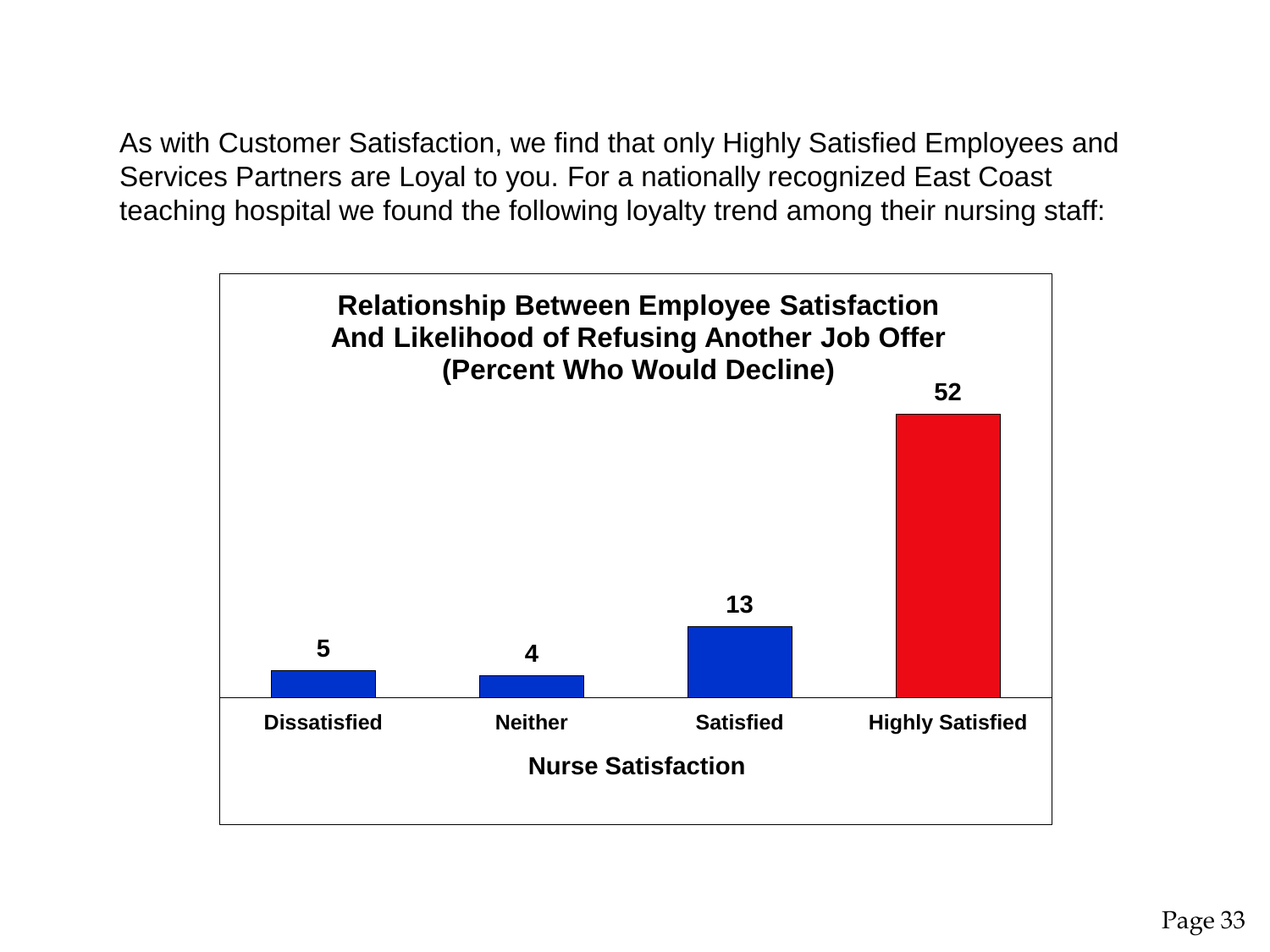As with Customer Satisfaction, we find that only Highly Satisfied Employees and Services Partners are Loyal to you. For a nationally recognized East Coast teaching hospital we found the following loyalty trend among their nursing staff:

![](_page_32_Figure_1.jpeg)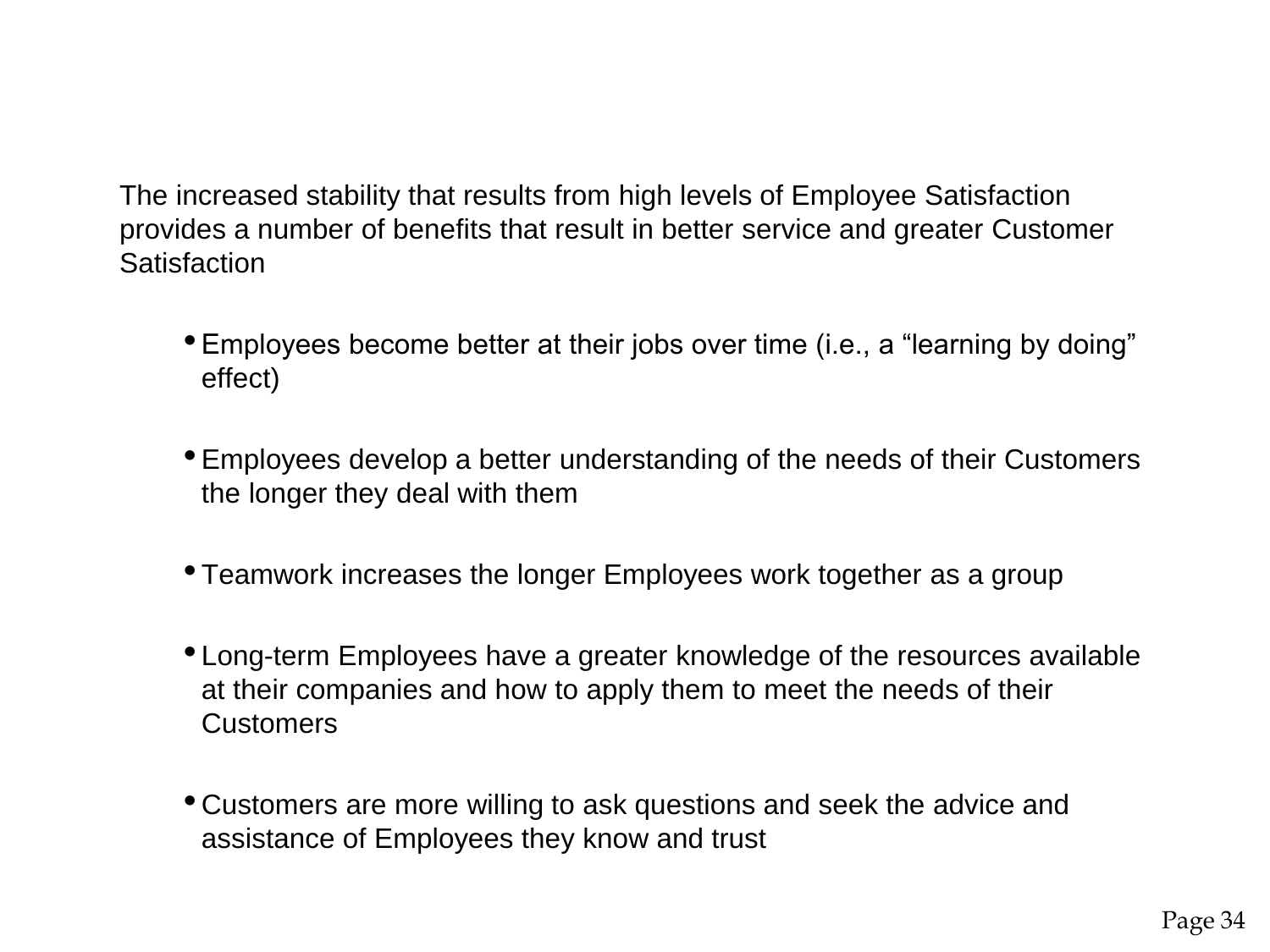The increased stability that results from high levels of Employee Satisfaction provides a number of benefits that result in better service and greater Customer **Satisfaction** 

- Employees become better at their jobs over time (i.e., a "learning by doing" effect)
- Employees develop a better understanding of the needs of their Customers the longer they deal with them
- Teamwork increases the longer Employees work together as a group
- Long-term Employees have a greater knowledge of the resources available at their companies and how to apply them to meet the needs of their **Customers**
- Customers are more willing to ask questions and seek the advice and assistance of Employees they know and trust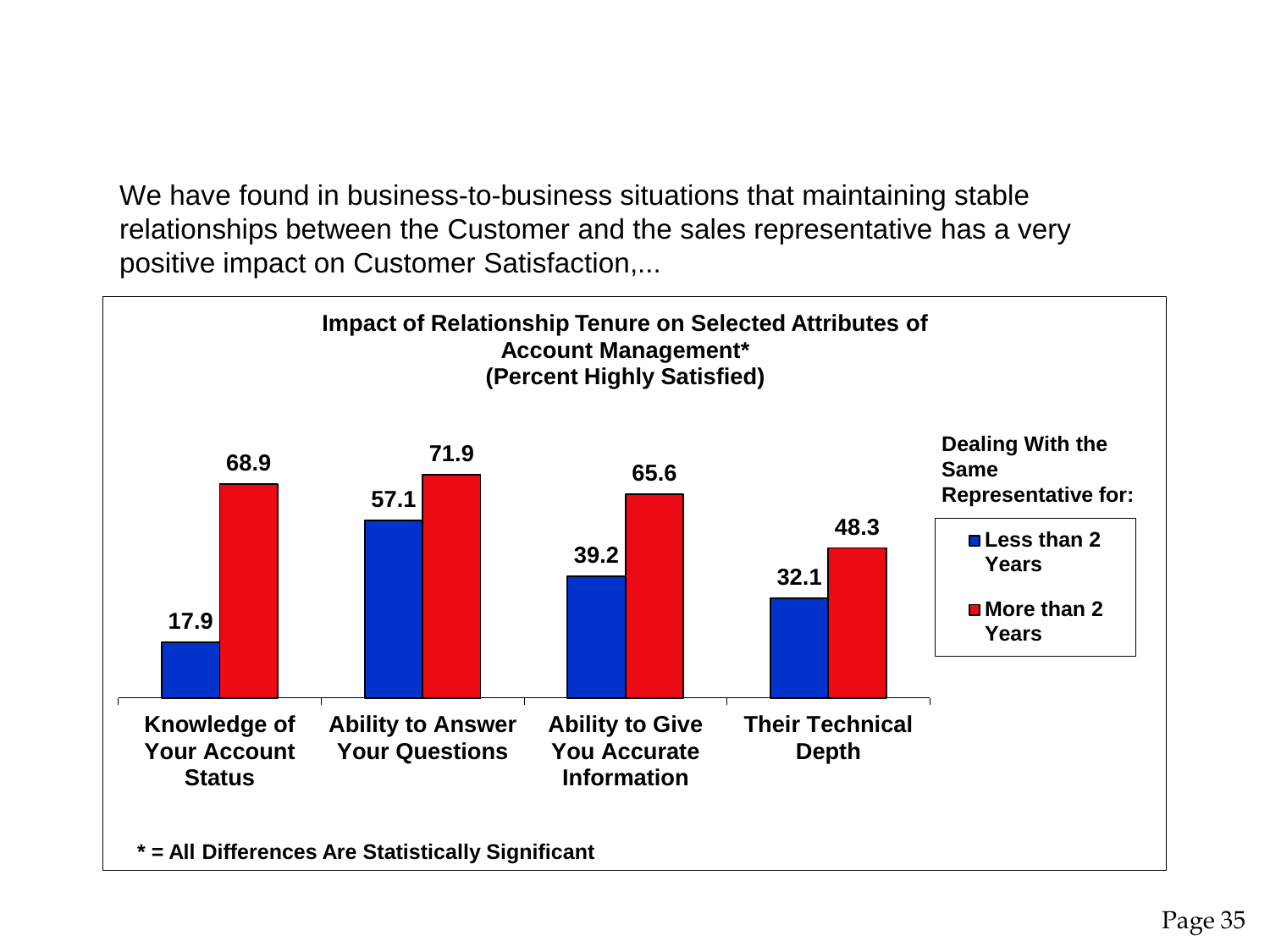We have found in business-to-business situations that maintaining stable relationships between the Customer and the sales representative has a very positive impact on Customer Satisfaction,...

![](_page_34_Figure_1.jpeg)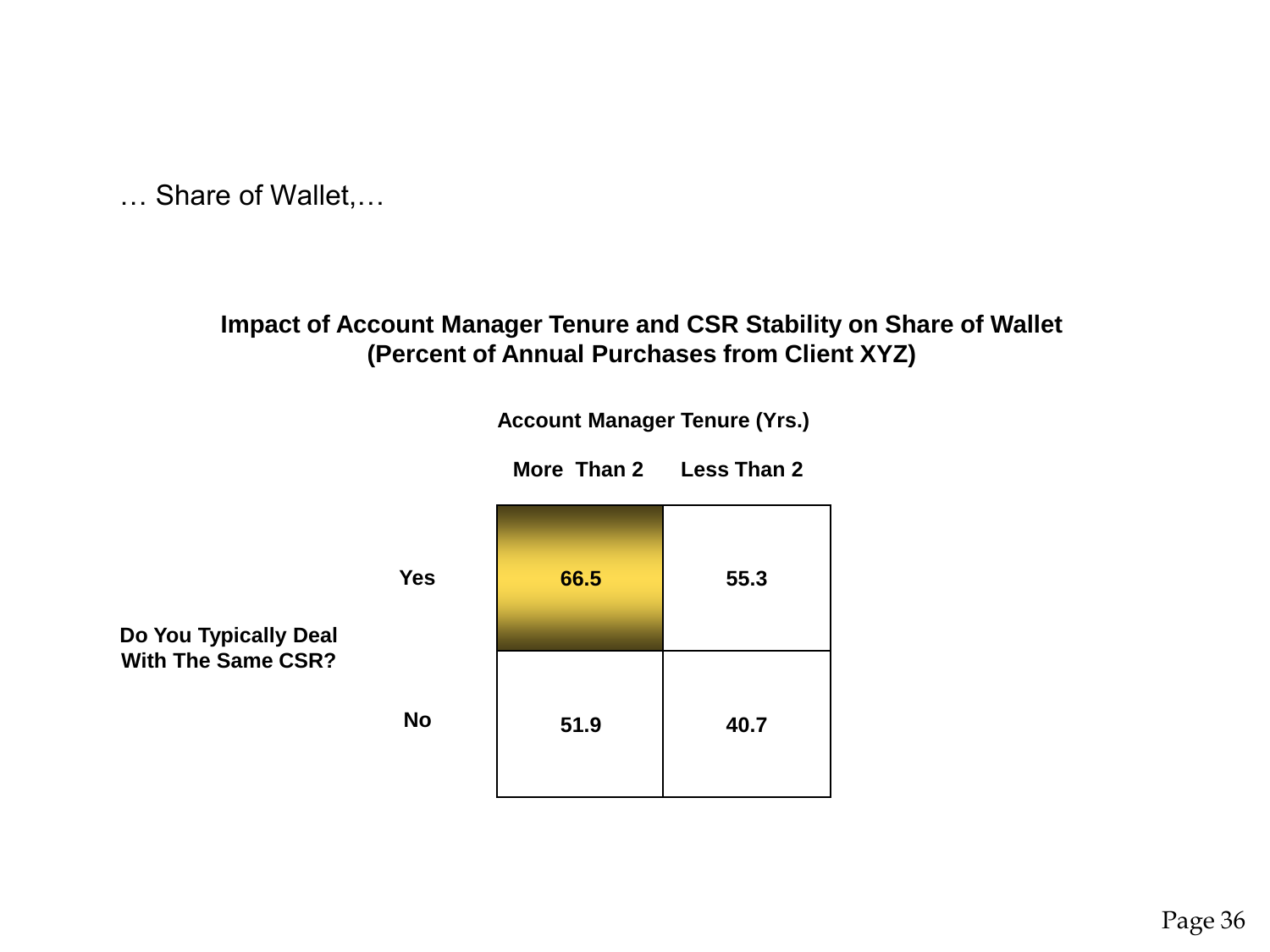… Share of Wallet,…

#### **Impact of Account Manager Tenure and CSR Stability on Share of Wallet (Percent of Annual Purchases from Client XYZ)**

**66.5 55.3 51.9 40.7 Account Manager Tenure (Yrs.) More Than 2 Less Than 2 Do You Typically Deal With The Same CSR? Yes No**

Page 36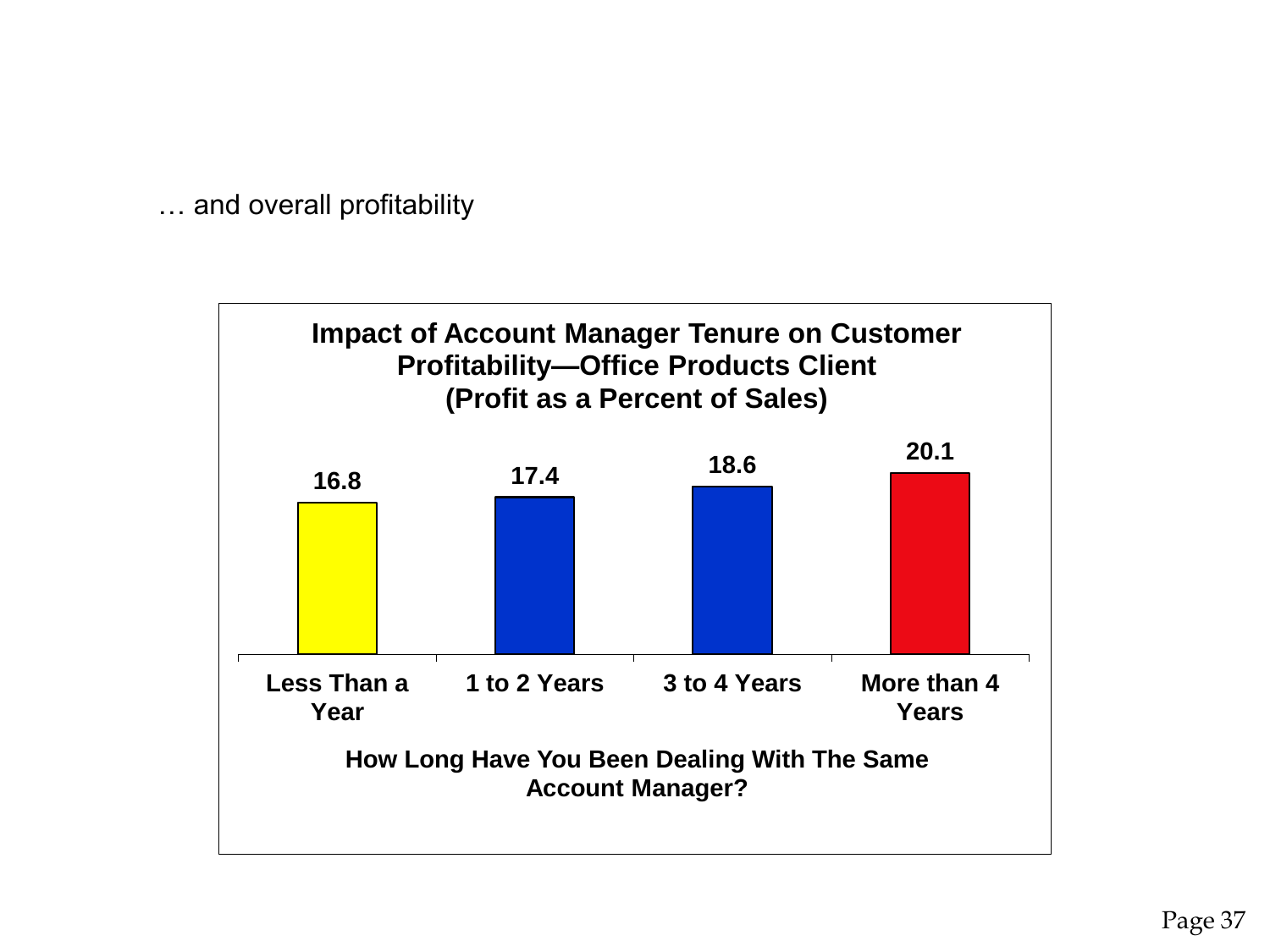… and overall profitability

![](_page_36_Figure_1.jpeg)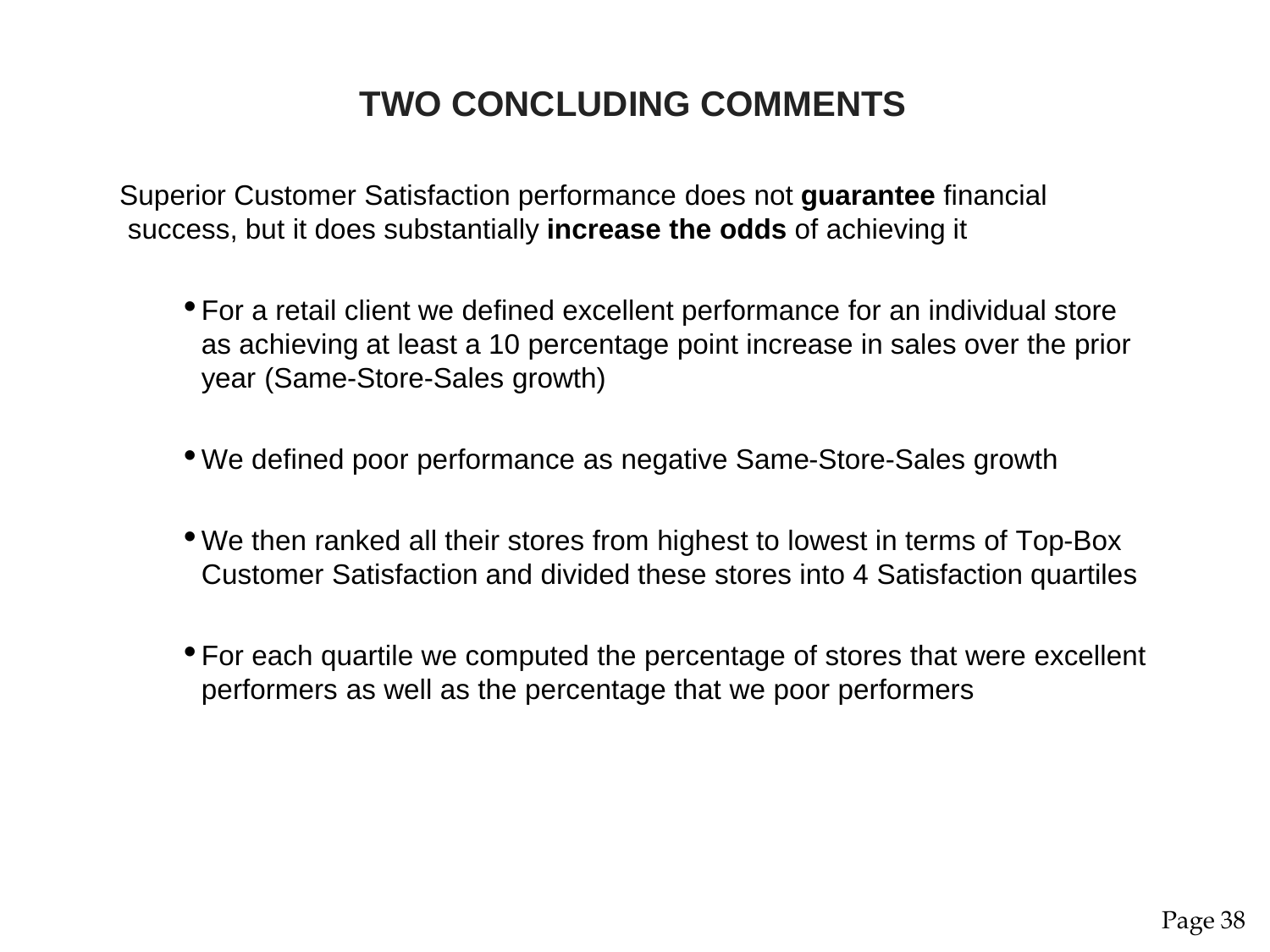## **TWO CONCLUDING COMMENTS**

Superior Customer Satisfaction performance does not **guarantee** financial success, but it does substantially **increase the odds** of achieving it

- For a retail client we defined excellent performance for an individual store as achieving at least a 10 percentage point increase in sales over the prior year (Same-Store-Sales growth)
- We defined poor performance as negative Same-Store-Sales growth
- We then ranked all their stores from highest to lowest in terms of Top-Box Customer Satisfaction and divided these stores into 4 Satisfaction quartiles
- For each quartile we computed the percentage of stores that were excellent performers as well as the percentage that we poor performers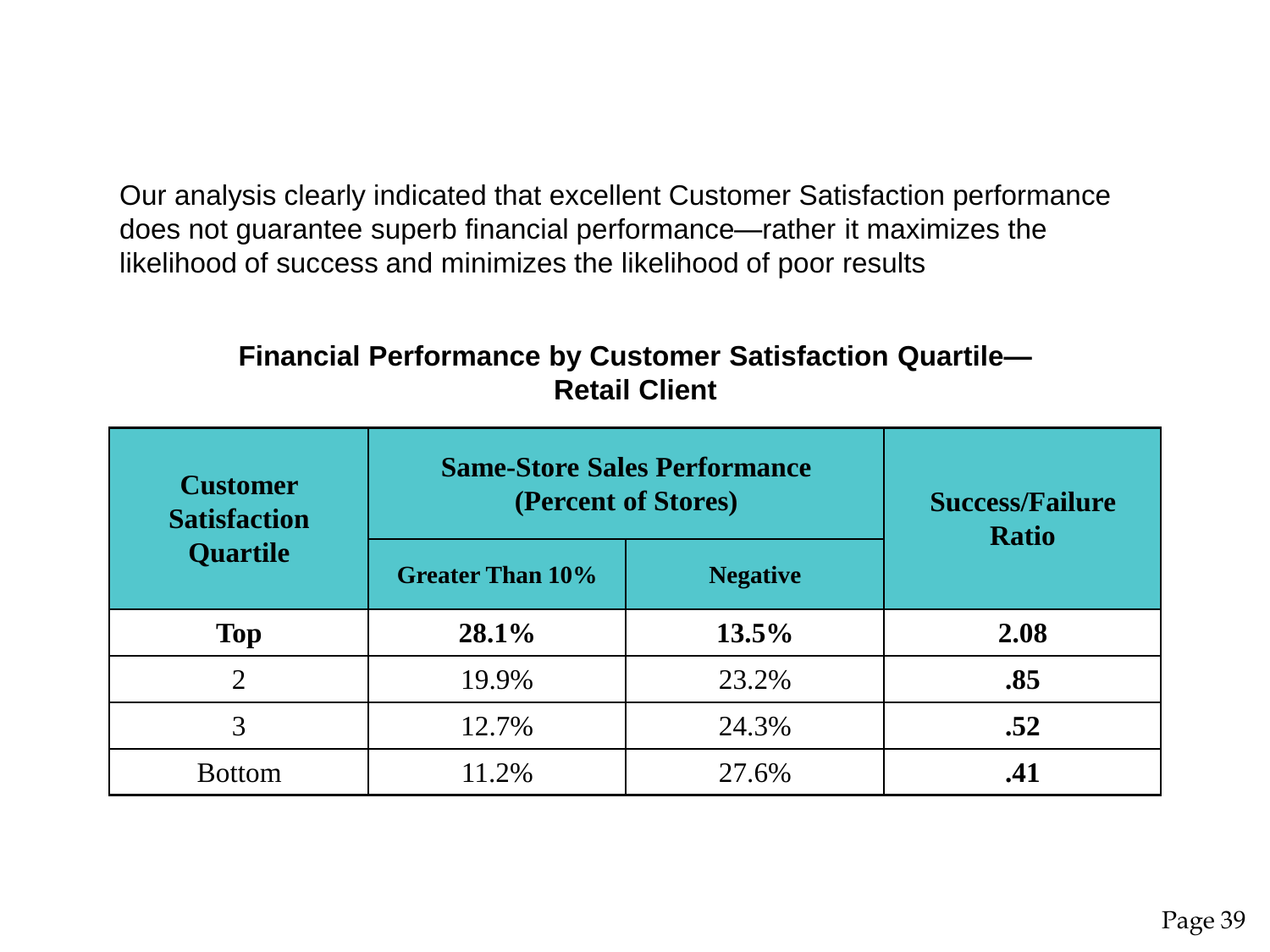Our analysis clearly indicated that excellent Customer Satisfaction performance does not guarantee superb financial performance—rather it maximizes the likelihood of success and minimizes the likelihood of poor results

#### **Financial Performance by Customer Satisfaction Quartile— Retail Client**

| <b>Customer</b><br><b>Satisfaction</b><br><b>Quartile</b> | <b>Same-Store Sales Performance</b><br>(Percent of Stores) |                 | <b>Success/Failure</b><br><b>Ratio</b> |
|-----------------------------------------------------------|------------------------------------------------------------|-----------------|----------------------------------------|
|                                                           | <b>Greater Than 10%</b>                                    | <b>Negative</b> |                                        |
| <b>Top</b>                                                | $28.1\%$                                                   | 13.5%           | 2.08                                   |
| 2                                                         | 19.9%                                                      | 23.2%           | .85                                    |
|                                                           | 12.7%                                                      | 24.3%           | .52                                    |
| <b>Bottom</b>                                             | 11.2%                                                      | 27.6%           | .41                                    |